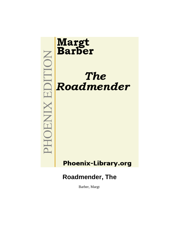

Barber, Margt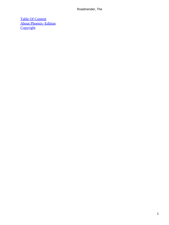[Table Of Content](#page-60-0) [About Phoenix−Edition](#page-61-0) **[Copyright](#page-62-0)**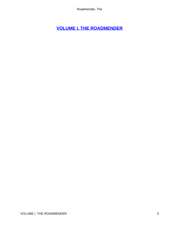# <span id="page-3-0"></span>**[VOLUME I. THE ROADMENDER](#page-60-0)**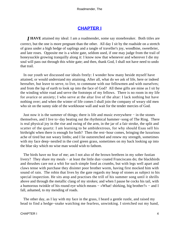### **[CHAPTER I](#page-60-0)**

<span id="page-4-0"></span>*I* HAVE attained my ideal: I am a roadmender, some say stonebreaker. Both titles are correct, but the one is more pregnant than the other. All day I sit by the roadside on a stretch of grass under a high hedge of saplings and a tangle of traveller's joy, woodbine, sweetbrier, and late roses. Opposite me is a white gate, seldom used, if one may judge from the trail of honeysuckle growing tranquilly along it: I know now that whenever and wherever I die my soul will pass out through this white gate; and then, thank God, I shall not have need to undo that trail.

 In our youth we discussed our ideals freely: I wonder how many beside myself have attained, or would understand my attaining. After all, what do we ask of life, here or indeed hereafter, but leave to serve, to live, to commune with our fellowmen and with ourselves; and from the lap of earth to look up into the face of God? All these gifts are mine as I sit by the winding white road and serve the footsteps of my fellows. There is no room in my life for avarice or anxiety; I who serve at the altar live of the altar: I lack nothing but have nothing over; and when the winter of life comes I shall join the company of weary old men who sit on the sunny side of the workhouse wall and wait for the tender mercies of God.

 Just now it is the summer of things; there is life and music everywhere − in the stones themselves, and I live to−day beating out the rhythmical hammer−song of The Ring. There is real physical joy in the rise and swing of the arm, in the jar of a fair stroke, the split and scatter of the quartz: I am learning to be ambidextrous, for why should Esau sell his birthright when there is enough for both? Then the rest−hour comes, bringing the luxurious ache of tired but not weary limbs; and I lie outstretched and renew my strength, sometimes with my face deep−nestled in the cool green grass, sometimes on my back looking up into the blue sky which no wise man would wish to fathom.

 The birds have no fear of me; am I not also of the brown brethren in my sober fustian livery? They share my meals − at least the little dun−coated Franciscans do; the blackbirds and thrushes care not a whit for such simple food as crumbs, but with legs well apart and claws tense with purchase they disinter poor brother worm, having first mocked him with sound of rain. The robin that lives by the gate regards my heap of stones as subject to his special inspection. He sits atop and practises the trill of his summer song until it shrills above and through the metallic clang of my strokes; and when I pause he cocks his tail, with a humorous twinkle of his round eye which means − «What! shirking, big brother?» − and I fall, ashamed, to my mending of roads.

 The other day, as I lay with my face in the grass, I heard a gentle rustle, and raised my head to find a hedge−snake watching me fearless, unwinking. I stretched out my hand,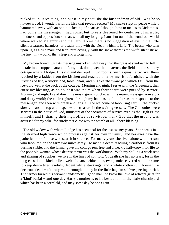picked it up unresisting, and put it in my coat like the husbandman of old. Was he so ill−rewarded, I wonder, with the kiss that reveals secrets? My snake slept in peace while I hammered away with an odd quickening of heart as I thought how to me, as to Melampus, had come the messenger – had come, but to ears deafened by centuries of misrule, blindness, and oppression; so that, with all my longing, I am shut out of the wondrous world where walked Melampus and the Saint. To me there is no suggestion of evil in the little silent creatures, harmless, or deadly only with the Death which is Life. The beasts who turn upon us, as a rule maul and tear unreflectingly; with the snake there is the swift, silent strike, the tiny, tiny wound, then sleep and a forgetting.

 My brown friend, with its message unspoken, slid away into the grass at sundown to tell its tale in unstopped ears; and I, my task done, went home across the fields to the solitary cottage where I lodge. It is old and decrepit − two rooms, with a quasi−attic over them reached by a ladder from the kitchen and reached only by me. It is furnished with the luxuries of life, a truckle bed, table, chair, and huge earthenware pan which I fill from the ice−cold well at the back of the cottage. Morning and night I serve with the Gibeonites, their curse my blessing, as no doubt it was theirs when their hearts were purged by service. Morning and night I send down the moss−grown bucket with its urgent message from a dry and dusty world; the chain tightens through my hand as the liquid treasure responds to the messenger, and then with creak and jangle − the welcome of labouring earth − the bucket slowly nears the top and disperses the treasure in the waiting vessels. The Gibeonites were servants in the house of God, ministers of the sacrament of service even as the High Priest himself; and I, sharing their high office of servitude, thank God that the ground was accursed for my sake, for surely that curse was the womb of all unborn blessing.

 The old widow with whom I lodge has been deaf for the last twenty years. She speaks in the strained high voice which protests against her own infirmity, and her eyes have the pathetic look of those who search in silence. For many years she lived alone with her son, who laboured on the farm two miles away. He met his death rescuing a carthorse from its burning stable; and the farmer gave the cottage rent free and a weekly half−crown for life to the poor old woman whose dearest terror was the workhouse. With my shilling a week rent, and sharing of supplies, we live in the lines of comfort. Of death she has no fears, for in the long chest in the kitchen lie a web of coarse white linen, two pennies covered with the same to keep down tired eyelids, decent white stockings, and a white cotton sun−bonnet − a decorous death−suit truly − and enough money in the little bag for self−respecting burial. The farmer buried his servant handsomely – good man, he knew the love of reticent grief for a 'kind' burial − and one day Harry's mother is to lie beside him in the little churchyard which has been a cornfield, and may some day be one again.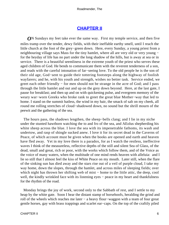### **[CHAPTER II](#page-60-0)**

<span id="page-6-0"></span>*O*N Sundays my feet take ever the same way. First my temple service, and then five miles tramp over the tender, dewy fields, with their ineffable earthy smell, until I reach the little church at the foot of the grey−green down. Here, every Sunday, a young priest from a neighbouring village says Mass for the tiny hamlet, where all are very old or very young − for the heyday of life has no part under the long shadow of the hills, but is away at sea or in service. There is a beautiful seemliness in the extreme youth of the priest who serves these aged children of God. He bends to communicate them with the reverent tenderness of a son, and reads with the careful intonation of far−seeing love. To the old people he is the son of their old age, God−sent to guide their tottering footsteps along the highway of foolish wayfarers; and he, with his youth and strength, wishes no better task. Service ended, we greet each other friendly – for men should not be strange in the acre of God; and I pass through the little hamlet and out and up on the grey down beyond. Here, at the last gate, I pause for breakfast; and then up and on with quickening pulse, and evergreen memory of the weary war−worn Greeks who broke rank to greet the great blue Mother−way that led to home. I stand on the summit hatless, the wind in my hair, the smack of salt on my cheek, all round me rolling stretches of cloud−shadowed down, no sound but the shrill mourn of the peewit and the gathering of the sea.

 The hours pass, the shadows lengthen, the sheep−bells clang; and I lie in my niche under the stunted hawthorn watching the to and fro of the sea, and AEolus shepherding his white sheep across the blue. I love the sea with its impenetrable fathoms, its wash and undertow, and rasp of shingle sucked anew. I love it for its secret dead in the Caverns of Peace, of which account must be given when the books are opened and earth and heaven have fled away. Yet in my love there is a paradox, for as I watch the restless, ineffective waves I think of the measureless, reflective depths of the still and silent Sea of Glass, of the dead, small and great, rich or poor, with the works which follow them, and of the Voice as the voice of many waters, when the multitude of one mind rends heaven with alleluia: and I lie so still that I almost feel the kiss of White Peace on my mouth. Later still, when the flare of the sinking sun has died away and the stars rise out of a veil of purple cloud, I take my way home, down the slopes, through the hamlet, and across miles of sleeping fields; over which night has thrown her shifting web of mist – home to the little attic, the deep, cool well, the kindly wrinkled face with its listening eyes – peace in my heart and thankfulness for the rhythm of the road.

 Monday brings the joy of work, second only to the Sabbath of rest, and I settle to my heap by the white gate. Soon I hear the distant stamp of horsehoofs, heralding the grind and roll of the wheels which reaches me later – a heavy flour–waggon with a team of four great gentle horses, gay with brass trappings and scarlet ear−caps. On the top of the craftily piled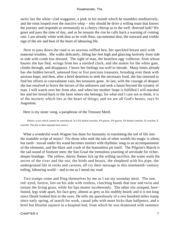sacks lies the white−clad waggoner, a pink in his mouth which he mumbles meditatively, and the reins looped over the inactive whip − why should he drive a willing team that knows the journey and responds as strenuously to a cheery chirrup as to the well−directed lash? We greet and pass the time of day, and as he mounts the rise he calls back a warning of coming rain. I am already white with dust as he with flour, sacramental dust, the outward and visible sign of the stir and beat of the heart of labouring life.

 Next to pass down the road is an anxious ruffled hen, her speckled breast astir with maternal troubles. She walks delicately, lifting her feet high and glancing furtively from side to side with comb low dressed. The sight of man, the heartless egg−collector, from whose haunts she has fled, wrings from her a startled cluck, and she makes for the white gate, climbs through, and disappears. I know her feelings too well to intrude. Many times already has she hidden herself, amassed four or five precious treasures, brooding over them with anxious hope; and then, after a brief desertion to seek the necessary food, she has returned to find her efforts at concealment vain, her treasures gone. At last, with the courage of despair she has resolved to brave the terrors of the unknown and seek a haunt beyond the tyranny of man. I will watch over her from afar, and when her mother−hope is fulfilled I will marshal her and her brood back to the farm where she belongs; for what end I care not to think, it is of the mystery which lies at the heart of things; and we are all God's beasts, says St Augustine.

Here is my stone−song, a paraphrase of the Treasure Motif.

[Music score which cannot be reproduced. It is F# dotted crotchet, F# quaver, F# quaver, F# dotted crotchet, D crotchet, E crotchet. This bar is then repeated once more.]

 What a wonderful work Wagner has done for humanity in translating the toil of life into the readable script of music! For those who seek the tale of other worlds his magic is silent; but earth− travail under his wand becomes instinct with rhythmic song to an accompaniment of the elements, and the blare and crash of the bottomless pit itself. The Pilgrim's March is the sad sound of footsore men; the San Graal the tremulous yearning of servitude for richer, deeper bondage. The yellow, thirsty flames lick up the willing sacrifice, the water wails the secret of the river and the sea; the birds and beasts, the shepherd with his pipe, the underground life in rocks and caverns, all cry their message to this nineteenth−century toiling, labouring world − and to me as I mend my road.

 Two tramps come and fling themselves by me as I eat my noonday meal. The one, red−eyed, furtive, lies on his side with restless, clutching hands that tear and twist and torture the living grass, while his lips mutter incoherently. The other sits stooped, bare− footed, legs wide apart, his face grey, almost as grey as his stubbly beard; and it is not long since Death looked him in the eyes. He tells me querulously of a two hundred miles tramp since early spring, of search for work, casual jobs with more kicks than halfpence, and a brief but blissful sojourn in a hospital bed, from which he was dismissed with sentence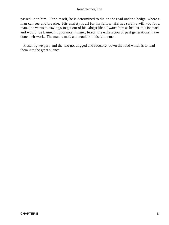passed upon him. For himself, he is determined to die on the road under a hedge, where a man can see and breathe. His anxiety is all for his fellow; HE has said he will «do for a man»; he wants to «swing,» to get out of his «dog's life.» I watch him as he lies, this Ishmael and would−be Lamech. Ignorance, hunger, terror, the exhaustion of past generations, have done their work. The man is mad, and would kill his fellowman.

 Presently we part, and the two go, dogged and footsore, down the road which is to lead them into the great silence.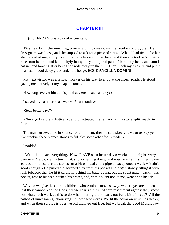### **[CHAPTER III](#page-60-0)**

<span id="page-9-0"></span>**YESTERDAY** was a day of encounters.

 First, early in the morning, a young girl came down the road on a bicycle. Her dressguard was loose, and she stopped to ask for a piece of string. When I had tied it for her she looked at me, at my worn dusty clothes and burnt face; and then she took a Niphetos rose from her belt and laid it shyly in my dirty disfigured palm. I bared my head, and stood hat in hand looking after her as she rode away up the hill. Then I took my treasure and put it in a nest of cool dewy grass under the hedge. **ECCE ANCILLA DOMINI.**

 My next visitor was a fellow−worker on his way to a job at the cross−roads. He stood gazing meditatively at my heap of stones.

«Ow long 'ave yer bin at this job that y'ere in such a hurry?»

I stayed my hammer to answer − «Four months.»

«Seen better days?»

 «Never,» I said emphatically, and punctuated the remark with a stone split neatly in four.

 The man surveyed me in silence for a moment; then he said slowly, «Mean ter say yer like crackin' these blamed stones to fill 'oles some other fool's made?»

I nodded.

 «Well, that beats everything. Now, I 'AVE seen better days; worked in a big brewery over near Maidstone − a town that, and something doing; and now, 'ere I am, 'ammering me 'eart out on these blasted stones for a bit o' bread and a pipe o' baccy once a week − it ain't good enough.» He pulled a blackened clay from his pocket and began slowly filling it with rank tobacco; then he lit it carefully behind his battered hat, put the spent match back in his pocket, rose to his feet, hitched his braces, and, with a silent nod to me, went on to his job.

Why do we give these tired children, whose minds move slowly, whose eyes are holden that they cannot read the Book, whose hearts are full of sore resentment against they know not what, such work as this to do – hammering their hearts out for a bit of bread? All the pathos of unreasoning labour rings in these few words. We fit the collar on unwilling necks; and when their service is over we bid them go out free; but we break the good Mosaic law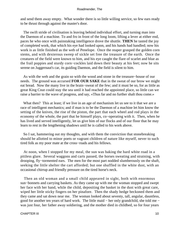and send them away empty. What wonder there is so little willing service, so few ears ready to be thrust through against the master's door.

 The swift stride of civilisation is leaving behind individual effort, and turning man into the Daemon of a machine. To and fro in front of the long loom, lifting a lever at either end, paces he who once with painstaking intelligence drove the shuttle. **THEN** he tasted the joy of completed work, that which his eye had looked upon, and his hands had handled; now his work is as little finished as the web of Penelope. Once the reaper grasped the golden corn stems, and with dexterous sweep of sickle set free the treasure of the earth. Once the creatures of the field were known to him, and his eye caught the flare of scarlet and blue as the frail poppies and sturdy corn−cockles laid down their beauty at his feet; now he sits serene on Juggernaut's car, its guiding Daemon, and the field is silent to him.

 As with the web and the grain so with the wood and stone in the treasure−house of our needs. The ground was accursed **FOR OUR SAKE** that in the sweat of our brow we might eat bread. Now the many live in the brain−sweat of the few; and it must be so, for as little as great King Cnut could stay the sea until it had reached the appointed place, so little can we raise a barrier to the wave of progress, and say, «Thus far and no further shalt thou come.»

 What then? This at least; if we live in an age of mechanism let us see to it that we are a race of intelligent mechanics; and if man is to be the Daemon of a machine let him know the setting of the knives, the rise of the piston, the part that each wheel and rod plays in the economy of the whole, the part that he himself plays, co−operating with it. Then, when he has lived and served intelligently, let us give him of our flocks and of our floor that he may learn to rest in the lengthening shadows until he is called to his work above.

 So I sat, hammering out my thoughts, and with them the conviction that stonebreaking should be allotted to minor poets or vagrant children of nature like myself, never to such tired folk as my poor mate at the cross−roads and his fellows.

 At noon, when I stopped for my meal, the sun was baking the hard white road in a pitiless glare. Several waggons and carts passed, the horses sweating and straining, with drooping, fly−tormented ears. The men for the most part nodded slumberously on the shaft, seeking the little shelter the cart afforded; but one shuffled in the white dust, with an occasional chirrup and friendly pressure on the tired horse's neck.

 Then an old woman and a small child appeared in sight, both with enormous sun−bonnets and carrying baskets. As they came up with me the woman stopped and swept her face with her hand, while the child, depositing the basket in the dust with great care, wiped her little sticky fingers on her pinafore. Then the shady hedge beckoned them and they came and sat down near me. The woman looked about seventy, tall, angular, dauntless, good for another ten years of hard work. The little maid − her only grandchild, she told me − was just four, her father away soldiering, and the mother died in childbed, so for four years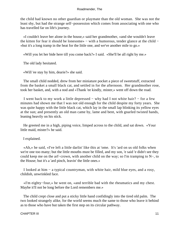the child had known no other guardian or playmate than the old woman. She was not the least shy, but had the strange self−possession which comes from associating with one who has travelled far on life's journey.

 «I couldn't leave her alone in the house,» said her grandmother, «and she wouldn't leave the kitten for fear it should be lonesome» − with a humorous, tender glance at the child − «but it's a long tramp in the heat for the little one, and we've another mile to go.»

«Will you let her bide here till you come back?» I said. «She'll be all right by me.»

The old lady hesitated.

«Will 'ee stay by him, dearie?» she said.

 The small child nodded, drew from her miniature pocket a piece of sweetstuff, extracted from the basket a small black cat, and settled in for the afternoon. Her grandmother rose, took her basket, and, with a nod and «Thank 'ee kindly, mister,» went off down the road.

 I went back to my work a little depressed − why had I not white hair? − for a few minutes had shown me that I was not old enough for the child despite my forty years. She was quite happy with the little black cat, which lay in the small lap blinking its yellow eyes at the sun; and presently an old man came by, lame and bent, with gnarled twisted hands, leaning heavily on his stick.

 He greeted me in a high, piping voice, limped across to the child, and sat down. «Your little maid, mister?» he said.

I explained.

 «Ah,» he said, «I've left a little darlin' like this at 'ome. It's 'ard on us old folks when we're one too many; but the little mouths must be filled, and my son, 'e said 'e didn't see they could keep me on the arf−crown, with another child on the way; so I'm tramping to N−, to the House; but it's a 'ard pinch, leavin' the little ones.»

 I looked at him − a typical countryman, with white hair, mild blue eyes, and a rosy, childish, unwrinkled face.

 «I'm eighty−four,» he went on, «and terrible bad with the rheumatics and my chest. Maybe it'll not be long before the Lord remembers me.»

 The child crept close and put a sticky little hand confidingly into the tired old palm. The two looked strangely alike, for the world seems much the same to those who leave it behind as to those who have but taken the first step on its circular pathway.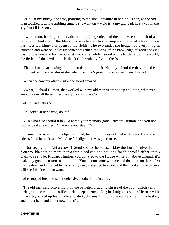«'Ook at my kitty,» she said, pointing to the small creature in her lap. Then, as the old man touched it with trembling fingers she went on − «'Oo isn't my grandad; he's away in the sky, but I'll kiss 'oo.»

 I worked on, hearing at intervals the old piping voice and the child−treble, much of a note; and thinking of the blessings vouchsafed to the simple old age which crowns a harmless working− life spent in the fields. The two under the hedge had everything in common and were boundlessly content together, the sting of the knowledge of good and evil past for the one, and for the other still to come; while I stood on the battlefield of the world, the flesh, and the devil, though, thank God, with my face to the foe.

 The old man sat resting: I had promised him a lift with my friend the driver of the flour−cart, and he was almost due when the child's grandmother came down the road.

When she saw my other visitor she stood amazed.

 «What, Richard Hunton, that worked with my old man years ago up at Ditton, whatever are you doin' all these miles from your own place?»

«Is it Eliza Jakes?»

He looked at her dazed, doubtful.

 «An' who else should it be? Where's your memory gone, Richard Hunton, and you not such a great age either? Where are you stayin'?»

 Shame overcame him; his lips trembled, his mild blue eyes filled with tears. I told the tale as I had heard it, and Mrs Jakes's indignation was good to see.

 «Not keep you on 'alf a crown! Send you to the House! May the Lord forgive them! You wouldn't eat no more than a fair−sized cat, and not long for this world either, that's plain to see. No, Richard Hunton, you don't go to the House while I'm above ground; it'd make my good man turn to think of it. You'll come 'ome with me and the little 'un there. I've my washin', and a bit put by for a rainy day, and a bed to spare, and the Lord and the parson will see I don't come to want.»

She stopped breathless, her defensive motherhood in arms.

 The old man said quaveringly, in the pathetic, grudging phrase of the poor, which veils their gratitude while it testifies their independence, «Maybe I might as well.» He rose with difficulty, picked up his bundle and stick, the small child replaced the kitten in its basket, and thrust her hand in her new friend's.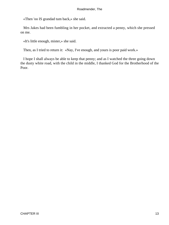«Then 'oo IS grandad tum back,» she said.

 Mrs Jakes had been fumbling in her pocket, and extracted a penny, which she pressed on me.

«It's little enough, mister,» she said.

Then, as I tried to return it: «Nay, I've enough, and yours is poor paid work.»

 I hope I shall always be able to keep that penny; and as I watched the three going down the dusty white road, with the child in the middle, I thanked God for the Brotherhood of the Poor.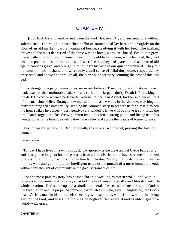# **[CHAPTER IV](#page-60-0)**

<span id="page-14-0"></span>*Y*ESTERDAY a funeral passed, from the work−house at N−, a quaint sepulture without solemnities. The rough, ungarnished coffin of stained deal lay bare and unsightly on the floor of an old market− cart; a woman sat beside, steadying it with her feet. The husband drove; and the most depressed of the three was the horse, a broken− kneed, flea−bitten grey. It was pathetic, this bringing home in death of the old father whom, while he lived, they had been too poor to house; it was at no small sacrifice that they had spared him that terror of old age, a pauper's grave, and brought him to lie by his wife in our quiet churchyard. They felt no emotion, this husband and wife, only a dull sense of filial duty done, respectability preserved; and above and through all, the bitter but necessary counting the cost of this last bed.

 It is strange how pagan many of us are in our beliefs. True, the funeral libations have made way for the comfortable bake−meats; still, to the large majority Death is Pluto, king of the dark Unknown whence no traveller returns, rather than Azrael, brother and friend, lord of this mansion of life. Strange how men shun him as he waits in the shadow, watching our puny straining after immortality, sending his comrade sleep to prepare us for himself. When the hour strikes he comes − very gently, very tenderly, if we will but have it so − folds the tired hands together, takes the way−worn feet in his broad strong palm; and lifting us in his wonderful arms he bears us swiftly down the valley and across the waters of Remembrance.

 Very pleasant art thou, O Brother Death, thy love is wonderful, passing the love of women.

\* \* \* \* \* \*

 To−day I have lived in a whirl of dust. To−morrow is the great annual Cattle Fair at E−, and through the long hot hours the beasts from all the district round have streamed in broken procession along my road, to change hands or to die. Surely the lordship over creation implies wise and gentle rule for intelligent use, not the pursuit of a mere immediate end, without any thought of community in the great sacrament of life.

 For the most part mystery has ceased for this working Western world, and with it reverence. Coventry Patmore says: «God clothes Himself actually and literally with His whole creation. Herbs take up and assimilate minerals, beasts assimilate herbs, and God, in the Incarnation and its proper Sacrament, assimilates us, who, says St Augustine, 'are God's beasts.'» It is man in his blind self− seeking who separates woof from weft in the living garment of God, and loses the more as he neglects the outward and visible signs of a world−wide grace.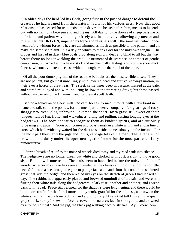In olden days the herd led his flock, going first in the post of danger to defend the creatures he had weaned from their natural habits for his various uses. Now that good relationship has ceased for us to exist, man drives the beasts before him, means to his end, but with no harmony between end and means. All day long the droves of sheep pass me on their lame and patient way, no longer freely and instinctively following a protector and forerunner, but **DRIVEN,** impelled by force and resistless will − the same will which once went before without force. They are all trimmed as much as possible to one pattern, and all make the same sad plaint. It is a day on which to thank God for the unknown tongue. The drover and his lad in dusty blue coats plod along stolidly, deaf and blind to all but the way before them; no longer wielding the crook, instrument of deliverance, or at most of gentle compulsion, but armed with a heavy stick and mechanically dealing blows on the short thick fleeces; without evil intent because without thought − it is the ritual of the trade.

 Of all the poor dumb pilgrims of the road the bullocks are the most terrible to see. They are not patient, but go most unwillingly with lowered head and furtive sideways motion, in their eyes a horror of great fear. The sleek cattle, knee deep in pasture, massed at the gate, and stared mild−eyed and with inquiring bellow at the retreating drove; but these passed without answer on to the Unknown, and for them it spelt death.

 Behind a squadron of sleek, well−fed cart−horses, formed in fours, with straw braid in mane and tail, came the ponies, for the most part a merry company. Long strings of rusty, shaggy two−year−olds, unbroken, unkempt, the short Down grass still sweet on their tongues; full of fun, frolic, and wickedness, biting and pulling, casting longing eyes at the hedgerows. The boys appear to recognise them as kindred spirits, and are curiously forbearing and patient. Soon both ponies and boys vanish in a white whirl, and a long line of carts, which had evidently waited for the dust to subside, comes slowly up the incline. For the most part they carry the pigs and fowls, carriage folk of the road. The latter are hot, crowded, and dusty under the open netting; the former for the most part cheerfully remonstrative.

 I drew a breath of relief as the noise of wheels died away and my road sank into silence. The hedgerows are no longer green but white and choked with dust, a sight to move good sister Rain to welcome tears. The birds seem to have fled before the noisy confusion. I wonder whether my snake has seen and smiled at the clumsy ruling of the lord he so little heeds? I turned aside through the gate to plunge face and hands into the cool of the sheltered grass that side the hedge, and then rested my eyes on the stretch of green I had lacked all day. The rabbits had apparently played and browsed unmindful of the stir, and were still flirting their white tails along the hedgerows; a lark rose, another and another, and I went back to my road. Peace still reigned, for the shadows were lengthening, and there would be little more traffic for the fair. I turned to my work, grateful for the stillness, and saw on the white stretch of road a lone old man and a pig. Surely I knew that tall figure in the quaint grey smock, surely I knew the face, furrowed like nature's face in springtime, and crowned by a round, soft hat? And the pig, the black pig walking decorously free? Ay, I knew them.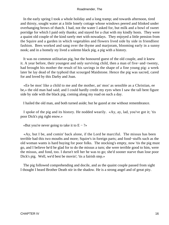In the early spring I took a whole holiday and a long tramp; and towards afternoon, tired and thirsty, sought water at a little lonely cottage whose windows peered and blinked under overhanging brows of thatch. I had, not the water I asked for, but milk and a bowl of sweet porridge for which I paid only thanks; and stayed for a chat with my kindly hosts. They were a quaint old couple of the kind rarely met with nowadays. They enjoyed a little pension from the Squire and a garden in which vegetables and flowers lived side by side in friendliest fashion. Bees worked and sang over the thyme and marjoram, blooming early in a sunny nook; and in a homely sty lived a solemn black pig, a pig with a history.

 It was no common utilitarian pig, but the honoured guest of the old couple, and it knew it. A year before, their youngest and only surviving child, then a man of five−and−twenty, had brought his mother the result of his savings in the shape of a fine young pig: a week later he lay dead of the typhoid that scourged Maidstone. Hence the pig was sacred, cared for and loved by this Darby and Joan.

 «Ee be mos' like a child to me and the mother, an' mos' as sensible as a Christian, ee be,» the old man had said; and I could hardly credit my eyes when I saw the tall bent figure side by side with the black pig, coming along my road on such a day.

I hailed the old man, and both turned aside; but he gazed at me without remembrance.

 I spoke of the pig and its history. He nodded wearily. «Ay, ay, lad, you've got it; 'tis poor Dick's pig right enow.»

«But you're never going to take it to  $E - ?$ »

 «Ay, but I be, and comin' back alone, if the Lord be marciful. The missus has been terrible bad this two mouths and more; Squire's in foreign parts; and food−stuffs such as the old woman wants is hard buying for poor folks. The stocking's empty, now 'tis the pig must go, and I believe he'd be glad for to do the missus a turn; she were terrible good to him, were the missus, and fond, too. I dursn't tell her he was to go; she'd sooner starve than lose poor Dick's pig. Well, we'd best be movin'; 'tis a fairish step.»

 The pig followed comprehending and docile, and as the quaint couple passed from sight I thought I heard Brother Death stir in the shadow. He is a strong angel and of great pity.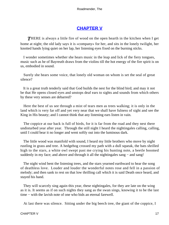# **[CHAPTER V](#page-60-0)**

<span id="page-17-0"></span>*T*HERE is always a little fire of wood on the open hearth in the kitchen when I get home at night; the old lady says it is «company» for her, and sits in the lonely twilight, her knotted hands lying quiet on her lap, her listening eyes fixed on the burning sticks.

 I wonder sometimes whether she hears music in the leap and lick of the fiery tongues, music such as he of Bayreuth draws from the violins till the hot energy of the fire spirit is on us, embodied in sound.

 Surely she hears some voice, that lonely old woman on whom is set the seal of great silence?

 It is a great truth tenderly said that God builds the nest for the blind bird; and may it not be that He opens closed eyes and unstops deaf ears to sights and sounds from which others by these very senses are debarred?

 Here the best of us see through a mist of tears men as trees walking; it is only in the land which is very far off and yet very near that we shall have fulness of sight and see the King in His beauty; and I cannot think that any listening ears listen in vain.

 The coppice at our back is full of birds, for it is far from the road and they nest there undisturbed year after year. Through the still night I heard the nightingales calling, calling, until I could bear it no longer and went softly out into the luminous dark.

 The little wood was manifold with sound, I heard my little brothers who move by night rustling in grass and tree. A hedgehog crossed my path with a dull squeak, the bats shrilled high to the stars, a white owl swept past me crying his hunting note, a beetle boomed suddenly in my face; and above and through it all the nightingales sang – and sang!

 The night wind bent the listening trees, and the stars yearned earthward to hear the song of deathless love. Louder and louder the wonderful notes rose and fell in a passion of melody; and then sank to rest on that low thrilling call which it is said Death once heard, and stayed his hand.

 They will scarcely sing again this year, these nightingales, for they are late on the wing as it is. It seems as if on such nights they sang as the swan sings, knowing it to be the last time − with the lavish note of one who bids an eternal farewell.

At last there was silence. Sitting under the big beech tree, the giant of the coppice, I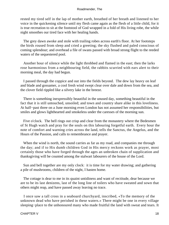rested my tired self in the lap of mother earth, breathed of her breath and listened to her voice in the quickening silence until my flesh came again as the flesh of a little child, for it is true recreation to sit at the footstool of God wrapped in a fold of His living robe, the while night smoothes our tired face with her healing hands.

 The grey dawn awoke and stole with trailing robes across earth's floor. At her footsteps the birds roused from sleep and cried a greeting; the sky flushed and paled conscious of coming splendour; and overhead a file of swans passed with broad strong flight to the reeded waters of the sequestered pool.

 Another hour of silence while the light throbbed and flamed in the east; then the larks rose harmonious from a neighbouring field, the rabbits scurried with ears alert to their morning meal, the day had begun.

 I passed through the coppice and out into the fields beyond. The dew lay heavy on leaf and blade and gossamer, a cool fresh wind swept clear over dale and down from the sea, and the clover field rippled like a silvery lake in the breeze.

 There is something inexpressibly beautiful in the unused day, something beautiful in the fact that it is still untouched, unsoiled; and town and country share alike in this loveliness. At half−past three on a June morning even London has not assumed her responsibilities, but smiles and glows lighthearted and smokeless under the caresses of the morning sun.

 Five o'clock. The bell rings out crisp and clear from the monastery where the Bedesmen of St Hugh watch and pray for the souls on this labouring forgetful earth. Every hour the note of comfort and warning cries across the land, tells the Sanctus, the Angelus, and the Hours of the Passion, and calls to remembrance and prayer.

When the wind is north, the sound carries as far as my road, and companies me through the day; and if to His dumb children God in His mercy reckons work as prayer, most certainly those who have forged through the ages an unbroken chain of supplication and thanksgiving will be counted among the stalwart labourers of the house of the Lord.

 Sun and bell together are my only clock: it is time for my water drawing; and gathering a pile of mushrooms, children of the night, I hasten home.

 The cottage is dear to me in its quaint untidiness and want of rectitude, dear because we are to be its last denizens, last of the long line of toilers who have sweated and sown that others might reap, and have passed away leaving no trace.

 I once saw a tall cross in a seaboard churchyard, inscribed, «To the memory of the unknown dead who have perished in these waters.» There might be one in every village sleeping−place to the unhonoured many who made fruitful the land with sweat and tears. It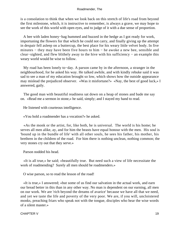is a consolation to think that when we look back on this stretch of life's road from beyond the first milestone, which, it is instructive to remember, is always a grave, we may hope to see the work of this world with open eyes, and to judge of it with a due sense of proportion.

 A bee with laden honey−bag hummed and buzzed in the hedge as I got ready for work, importuning the flowers for that which he could not carry, and finally giving up the attempt in despair fell asleep on a buttercup, the best place for his weary little velvet body. In five minutes − they may have been five hours to him − he awoke a new bee, sensible and clear−sighted, and flew blithely away to the hive with his sufficiency − an example this weary world would be wise to follow.

 My road has been lonely to−day. A parson came by in the afternoon, a stranger in the neighbourhood, for he asked his way. He talked awhile, and with kindly rebuke said it was sad to see a man of my education brought so low, which shows how the outside appearance may mislead the prejudiced observer. «Was it misfortune?» «Nay, the best of good luck,» I answered, gaily.

 The good man with beautiful readiness sat down on a heap of stones and bade me say on. «Read me a sermon in stone,» he said, simply; and I stayed my hand to read.

He listened with courteous intelligence.

«You hold a roadmender has a vocation?» he asked.

 «As the monk or the artist, for, like both, he is universal. The world is his home; he serves all men alike, ay, and for him the beasts have equal honour with the men. His soul is 'bound up in the bundle of life' with all other souls, he sees his father, his mother, his brethren in the children of the road. For him there is nothing unclean, nothing common; the very stones cry out that they serve.»

Parson nodded his head.

 «It is all true,» he said; «beautifully true. But need such a view of life necessitate the work of roadmending? Surely all men should be roadmenders.»

O wise parson, so to read the lesson of the road!

 «It is true,» I answered; «but some of us find our salvation in the actual work, and earn our bread better in this than in any other way. No man is dependent on our earning, all men on our work. We are 'rich beyond the dreams of avarice' because we have all that we need, and yet we taste the life and poverty of the very poor. We are, if you will, uncloistered monks, preaching friars who speak not with the tongue, disciples who hear the wise words of a silent master.»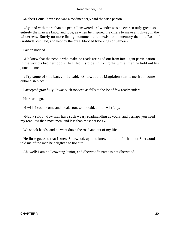«Robert Louis Stevenson was a roadmender,» said the wise parson.

 «Ay, and with more than his pen,» I answered. «I wonder was he ever so truly great, so entirely the man we know and love, as when he inspired the chiefs to make a highway in the wilderness. Surely no more fitting monument could exist to his memory than the Road of Gratitude, cut, laid, and kept by the pure−blooded tribe kings of Samoa.»

Parson nodded.

 «He knew that the people who make no roads are ruled out from intelligent participation in the world's brotherhood.» He filled his pipe, thinking the while, then he held out his pouch to me.

 «Try some of this baccy,» he said; «Sherwood of Magdalen sent it me from some outlandish place.»

I accepted gratefully. It was such tobacco as falls to the lot of few roadmenders.

He rose to go.

«I wish I could come and break stones,» he said, a little wistfully.

 «Nay,» said I, «few men have such weary roadmending as yours, and perhaps you need my road less than most men, and less than most parsons.»

We shook hands, and he went down the road and out of my life.

 He little guessed that I knew Sherwood, ay, and knew him too, for had not Sherwood told me of the man he delighted to honour.

Ah, well! I am no Browning Junior, and Sherwood's name is not Sherwood.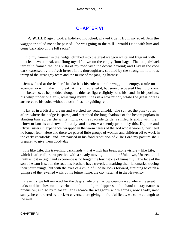# **[CHAPTER VI](#page-60-0)**

<span id="page-21-0"></span>*A* **WHILE** ago I took a holiday; mouched, played truant from my road. Jem the waggoner hailed me as he passed – he was going to the mill – would I ride with him and come back atop of the full sacks?

 I hid my hammer in the hedge, climbed into the great waggon white and fragrant with the clean sweet meal, and flung myself down on the empty flour bags. The looped−back tarpaulin framed the long vista of my road with the downs beyond; and I lay in the cool dark, caressed by the fresh breeze in its thoroughfare, soothed by the strong monotonous tramp of the great grey team and the music of the jangling harness.

 Jem walked at the leaders' heads; it is his rule when the waggon is empty, a rule no «company» will make him break. At first I regretted it, but soon discovered I learnt to know him better so, as he plodded along, his thickset figure slightly bent, his hands in his pockets, his whip under one arm, whistling hymn tunes in a low minor, while the great horses answered to his voice without touch of lash or guiding rein.

 I lay as in a blissful dream and watched my road unfold. The sun set the pine−boles aflare where the hedge is sparse, and stretched the long shadows of the besom poplars in slanting bars across the white highway; the roadside gardens smiled friendly with their trim−cut laurels and rows of stately sunflowers − a seemly proximity this, Daphne and Clytie, sisters in experience, wrapped in the warm caress of the god whose wooing they need no longer fear. Here and there we passed little groups of women and children off to work in the early cornfields, and Jem paused in his fond repetition of «The Lord my pasture shall prepare» to give them good−day.

 It is like Life, this travelling backwards − that which has been, alone visible − like Life, which is after all, retrospective with a steady moving on into the Unknown, Unseen, until Faith is lost in Sight and experience is no longer the touchstone of humanity. The face of the son of Adam is set on the road his brothers have travelled, marking their landmarks, tracing their journeyings; but with the eyes of a child of God he looks forward, straining to catch a glimpse of the jewelled walls of his future home, the city «Eternal in the Heavens.»

 Presently we left my road for the deep shade of a narrow country way where the great oaks and beeches meet overhead and no hedge− clipper sets his hand to stay nature's profusion; and so by pleasant lanes scarce the waggon's width across, now shady, now sunny, here bordered by thickset coverts, there giving on fruitful fields, we came at length to the mill.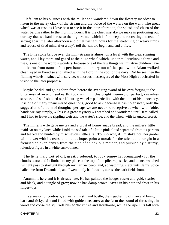I left Jem to his business with the miller and wandered down the flowery meadow to listen to the merry clack of the stream and the voice of the waters on the weir. The great wheel was at rest, as I love best to see it in the later afternoon; the splash and churn of the water belong rather to the morning hours. It is the chief mistake we make in portioning out our day that we banish rest to the night−time, which is for sleep and recreating, instead of setting apart the later afternoon and quiet twilight hours for the stretching of weary limbs and repose of tired mind after a day's toil that should begin and end at five.

The little stone bridge over the mill−stream is almost on a level with the clear running water, and I lay there and gazed at the huge wheel which, under multitudinous forms and uses, is one of the world's wonders, because one of the few things we imitative children have not learnt from nature. Is it perchance a memory out of that past when Adam walked clear−eyed in Paradise and talked with the Lord in the cool of the day? Did he see then the flaming wheels instinct with service, wondrous messengers of the Most High vouchsafed in vision to the later prophets?

 Maybe he did, and going forth from before the avenging sword of his own forging to the bitterness of an accursed earth, took with him this bright memory of perfect, ceaseless service, and so fashioned our labouring wheel − pathetic link with the time of his innocency. It is one of many unanswered questions, good to ask because it has no answer, only the suggestion of a train of thought: perhaps we are never so receptive as when with folded hands we say simply, «This is a great mystery.» I watched and wondered until Jem called, and I had to leave the rippling weir and the water's side, and the wheel with its untold secret.

 The miller's wife gave me tea and a crust of home−made bread, and the miller's little maid sat on my knee while I told the sad tale of a little pink cloud separated from its parents and teazed and hunted by mischievous little airs. To−morrow, if I mistake not, her garden will be wet with its tears, and, let us hope, point a moral; for the tale had its origin in a frenzied chicken driven from the side of an anxious mother, and pursued by a sturdy, relentless figure in a white sun−bonnet.

 The little maid trotted off, greatly sobered, to look somewhat prematurely for the cloud's tears; and I climbed to my place at the top of the piled−up sacks, and thence watched twilight pass to starlight through my narrow peep, and, so watching, slept until Jem's voice hailed me from Dreamland, and I went, only half awake, across the dark fields home.

 Autumn is here and it is already late. He has painted the hedges russet and gold, scarlet and black, and a tangle of grey; now he has damp brown leaves in his hair and frost in his finger−tips.

 It is a season of contrasts; at first all is stir and bustle, the ingathering of man and beast; barn and rickyard stand filled with golden treasure; at the farm the sound of threshing; in wood and copse the squirrels busied 'twixt tree and storehouse, while the ripe nuts fall with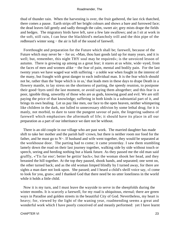thud of thunder rain. When the harvesting is over, the fruit gathered, the last rick thatched, there comes a pause. Earth strips off her bright colours and shows a bare and furrowed face; the dead leaves fall gently and sadly through the calm, sweet air; grey mists drape the fields and hedges. The migratory birds have left, save a few late swallows; and as I sit at work in the soft, still rain, I can hear the blackbird's melancholy trill and the thin pipe of the redbreast's winter song − the air is full of the sound of farewell.

 Forethought and preparation for the Future which shall be; farewell, because of the Future which may never be − for us; «Man, thou hast goods laid up for many years, and it is well; but, remember, this night THY soul may be required»; is the unvoiced lesson of autumn. There is growing up among us a great fear; it stares at us white, wide−eyed, from the faces of men and women alike − the fear of pain, mental and bodily pain. For the last twenty years we have waged war with suffering − a noble war when fought in the interest of the many, but fraught with great danger to each individual man. It is the fear which should not be, rather than the 'hope which is in us,' that leads men in these days to drape Death in a flowery mantle, to lay stress on the shortness of parting, the speedy reunion, to postpone their good−byes until the last moment, or avoid saying them altogether; and this fear is a poor, ignoble thing, unworthy of those who are as gods, knowing good and evil. We are still paying the price of that knowledge; suffering in both kinds is a substantial part of it, and brings its own healing. Let us pay like men, our face to the open heaven, neither whimpering like children in the dark, nor lulled to unnecessary oblivion by some lethal drug; for it is manly, not morbid, to dare to taste the pungent savour of pain, the lingering sadness of farewell which emphasises the aftermath of life; it should have its place in all our preparation as a part of our inheritance we dare not be without.

 There is an old couple in our village who are past work. The married daughter has made shift to take her mother and the parish half−crown, but there is neither room nor food for the father, and he must go to N−. If husband and wife went together, they would be separated at the workhouse door. The parting had to come; it came yesterday. I saw them stumbling lamely down the road on their last journey together, walking side by side without touch or speech, seeing and heeding nothing but a blank future. As they passed me the old man said gruffly, «'Tis far eno'; better be gettin' back»; but the woman shook her head, and they breasted the hill together. At the top they paused, shook hands, and separated; one went on, the other turned back; and as the old woman limped blindly by I turned away, for there are sights a man dare not look upon. She passed; and I heard a child's shrill voice say, «I come to look for you, gran»; and I thanked God that there need be no utter loneliness in the world while it holds a little child.

 Now it is my turn, and I must leave the wayside to serve in the sheepfolds during the winter months. It is scarcely a farewell, for my road is ubiquitous, eternal; there are green ways in Paradise and golden streets in the beautiful City of God. Nevertheless, my heart is heavy; for, viewed by the light of the waning year, roadmending seems a great and wonderful work which I have poorly conceived of and meanly performed: yet I have learnt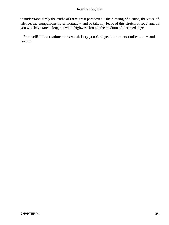to understand dimly the truths of three great paradoxes − the blessing of a curse, the voice of silence, the companionship of solitude − and so take my leave of this stretch of road, and of you who have fared along the white highway through the medium of a printed page.

 Farewell! It is a roadmender's word; I cry you Godspeed to the next milestone − and beyond.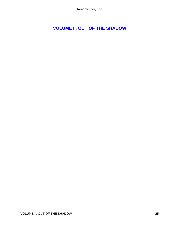# <span id="page-25-0"></span>**[VOLUME II. OUT OF THE SHADOW](#page-60-0)**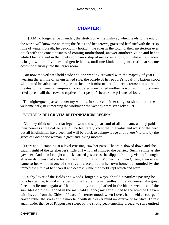# **[CHAPTER I](#page-60-0)**

<span id="page-26-0"></span>*I* AM no longer a roadmender; the stretch of white highway which leads to the end of the world will know me no more; the fields and hedgerows, grass and leaf stiff with the crisp rime of winter's breath, lie beyond my horizon; the ewes in the folding, their mysterious eyes quick with the consciousness of coming motherhood, answer another's voice and hand; while I lie here, not in the lonely companionship of my expectations, but where the shadow is bright with kindly faces and gentle hands, until one kinder and gentler still carries me down the stairway into the larger room.

 But now the veil was held aside and one went by crowned with the majesty of years, wearing the ermine of an unstained rule, the purple of her people's loyalty. Nations stood with bated breath to see her pass in the starlit mist of her children's tears; a monarch – greatest of her time; an empress − conquered men called mother; a woman − Englishmen cried queen; still the crowned captive of her people's heart − the prisoner of love.

 The night−goers passed under my window in silence, neither song nor shout broke the welcome dark; next morning the workmen who went by were strangely quiet.

### 'VICTORIA **DEI GRATIA BRITANNIARUM** REGINA.'

 Did they think of how that legend would disappear, and of all it meant, as they paid their pennies at the coffee−stall? The feet rarely know the true value and work of the head; but all Englishmen have been and will be quick to acknowledge and revere Victoria by the grace of God a wise woman, a great and loving mother.

 Years ago, I, standing at a level crossing, saw her pass. The train slowed down and she caught sight of the gatekeeper's little girl who had climbed the barrier. Such a smile as she gave her! And then I caught a quick startled gesture as she slipped from my vision; I thought afterwards it was that she feared the child might fall. Mother first, then Queen; even so rest came to her − not in one of the royal palaces, but in her own home, surrounded by the immediate circle of her nearest and dearest, while the world kept watch and ward.

 I, a shy lover of the fields and woods, longed always, should a painless passing be vouchsafed me, to make my bed on the fragrant pine needles in the aloneness of a great forest; to lie once again as I had lain many a time, bathed in the bitter sweetness of the sun−blessed pines, lapped in the manifold silence; my ear attuned to the wind of Heaven with its call from the Cities of Peace. In sterner mood, when Love's hand held a scourge, I craved rather the stress of the moorland with its bleaker mind imperative of sacrifice. To rest again under the lee of Rippon Tor swept by the strong peat−smelling breeze; to stare untired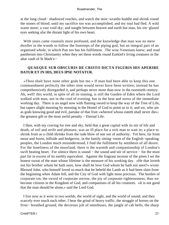at the long cloud− shadowed reaches, and watch the mist−wraiths huddle and shrink round the stones of blood; until my sacrifice too was accomplished, and my soul had fled. A wild waste moor; a vast void sky; and naught between heaven and earth but man, his sin−glazed eyes seeking afar the distant light of his own heart.

 With years came counsels more profound, and the knowledge that man was no mere dweller in the woods to follow the footsteps of the piping god, but an integral part of an organised whole, in which Pan too has his fulfilment. The wise Venetians knew; and read pantheism into Christianity when they set these words round Ezekiel's living creatures in the altar vault of St Mark's:−

### **QUAEQUE SUB OBSCURIS DE CRISTO DICTA FIGURIS HIS APERIRE DATUR ET IN HIS, DEUS IPSE NOTATUR.**

 «Thou shalt have none other gods but me.» If man had been able to keep this one commandment perfectly the other nine would never have been written; instead he has comprehensively disregarded it, and perhaps never more than now in the twentieth century. Ah, well! this world, in spite of all its sinning, is still the Garden of Eden where the Lord walked with man, not in the cool of evening, but in the heat and stress of the immediate working day. There is no angel now with flaming sword to keep the way of the Tree of Life, but tapers alight morning by morning in the Hostel of God to point us to it; and we, who are as gods knowing good and evil, partake of that fruit «whereof whoso eateth shall never die»; the greatest gift or the most awful penalty − Eternal Life.

 I then, with my craving for tree and sky, held that a great capital with its stir of life and death, of toil and strife and pleasure, was an ill place for a sick man to wait in; a place to shrink from as a child shrinks from the rude blow of one out of authority. Yet here, far from moor and forest, hillside and hedgerow, in the family sitting−room of the English−speaking peoples, the London much misunderstood, I find the fulfilment by antithesis of all desire. For the loneliness of the moorland, there is the warmth and companionship of London's swift beating heart. For silence there is sound – the sound and stir of service – for the most part far in excess of its earthly equivalent. Against the fragrant incense of the pines I set the honest sweat of the man whose lifetime is the measure of his working day. «He that loveth not his brother whom he hath seen, how shall he love God whom he hath not seen?» wrote Blessed John, who himself loved so much that he beheld the Lamb as it had been slain from the beginning when Adam fell, and the City of God with light most precious. The burden of corporate sin, the sword of corporate sorrow, the joy of corporate righteousness; thus we become citizens in the Kingdom of God, and companions of all his creatures. «It is not good that the man should be alone,» said the Lord God.

 I live now as it were in two worlds, the world of sight, and the world of sound; and they scarcely ever touch each other. I hear the grind of heavy traffic, the struggle of horses on the frost− breathed ground, the decorous jolt of omnibuses, the jangle of cab bells, the sharp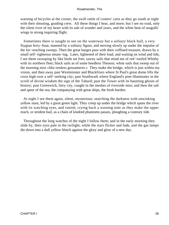warning of bicycles at the corner, the swift rattle of costers' carts as they go south at night with their shouting, goading crew. All these things I hear, and more; but I see no road, only the silent river of my heart with its tale of wonder and years, and the white beat of seagulls' wings in strong inquiring flight.

 Sometimes there is naught to see on the waterway but a solitary black hull, a very Stygian ferry−boat, manned by a solitary figure, and moving slowly up under the impulse of the far−reaching sweeps. Then the great barges pass with their coffined treasure, drawn by a small self−righteous steam−tug. Later, lightened of their load, and waiting on wind and tide, I see them swooping by like birds set free; tawny sails that mind me of red−roofed Whitby with its northern fleet; black sails as of some heedless Theseus; white sails that sweep out of the morning mist «like restless gossameres.» They make the bridge, which is just within my vision, and then away past Westminster and Blackfriars where St Paul's great dome lifts the cross high over a self−seeking city; past Southwark where England's poet illuminates in the scroll of divine wisdom the sign of the Tabard; past the Tower with its haunting ghosts of history; past Greenwich, fairy city, caught in the meshes of riverside mist; and then the salt and speer of the sea, the companying with great ships, the fresh burden.

 At night I see them again, silent, mysterious; searching the darkness with unwinking yellow stare, led by a great green light. They creep up under the bridge which spans the river with its watching eyes, and vanish, crying back a warning note as they make the upper reach, or strident hail, as a chain of kindred phantoms passes, ploughing a contrary tide.

 Throughout the long watches of the night I follow them; and in the early morning they slide by, their eyes pale in the twilight; while the stars flicker and fade, and the gas lamps die down into a dull yellow blotch against the glory and glow of a new day.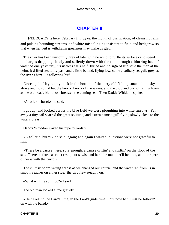# **[CHAPTER II](#page-60-0)**

<span id="page-29-0"></span>*F*EBRUARY is here, February fill−dyke; the month of purification, of cleansing rains and pulsing bounding streams, and white mist clinging insistent to field and hedgerow so that when her veil is withdrawn greenness may make us glad.

 The river has been uniformly grey of late, with no wind to ruffle its surface or to speed the barges dropping slowly and sullenly down with the tide through a blurring haze. I watched one yesterday, its useless sails half−furled and no sign of life save the man at the helm. It drifted stealthily past, and a little behind, flying low, came a solitary seagull, grey as the river's haze  $-$  a following bird.

 Once again I lay on my back in the bottom of the tarry old fishing smack, blue sky above and no sound but the knock, knock of the waves, and the thud and curl of falling foam as the old boat's blunt nose breasted the coming sea. Then Daddy Whiddon spoke.

«A follerin' burrd,» he said.

 I got up, and looked across the blue field we were ploughing into white furrows. Far away a tiny sail scarred the great solitude, and astern came a gull flying slowly close to the water's breast.

Daddy Whiddon waved his pipe towards it.

 «A follerin' burrd,» he said, again; and again I waited; questions were not grateful to him.

 «There be a carpse there, sure enough, a carpse driftin' and shiftin' on the floor of the sea. There be those as can't rest, poor sawls, and her'll be mun, her'll be mun, and the sperrit of her is with the burrd.»

 The clumsy boom swung across as we changed our course, and the water ran from us in smooth reaches on either side: the bird flew steadily on.

«What will the spirit do?» I said.

The old man looked at me gravely.

 «Her'll rest in the Lard's time, in the Lard's gude time − but now her'll just be follerin' on with the burrd.»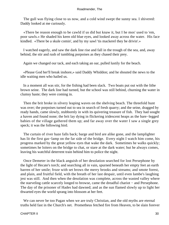The gull was flying close to us now, and a cold wind swept the sunny sea. I shivered: Daddy looked at me curiously.

 «There be reason enough to be cawld if us did but knaw it, but I he mos' used to 'em, poor sawls.» He shaded his keen old blue eyes, and looked away across the water. His face kindled. «There be a skule comin', and by my sawl 'tis mackerel they be drivin'.»

 I watched eagerly, and saw the dark line rise and fall in the trough of the sea, and, away behind, the stir and rush of tumbling porpoises as they chased their prey.

Again we changed our tack, and each taking an oar, pulled lustily for the beach.

 «Please God her'll break inshore,» said Daddy Whiddon; and he shouted the news to the idle waiting men who hailed us.

 In a moment all was stir, for the fishing had been slack. Two boats put out with the lithe brown seine. The dark line had turned, but the school was still behind, churning the water in clumsy haste; they were coming in.

 Then the brit broke in silvery leaping waves on the shelving beach. The threefold hunt was over; the porpoises turned out to sea in search of fresh quarry; and the seine, dragged by ready hands, came slowly, stubbornly in with its quivering treasure of fish. They had sought a haven and found none; the brit lay dying in flickering iridescent heaps as the bare−legged babies of the village gathered them up; and far away over the water I saw a single grey speck; it was the following bird.

 The curtain of river haze falls back; barge and bird are alike gone, and the lamplighter has lit the first gas−lamp on the far side of the bridge. Every night I watch him come, his progress marked by the great yellow eyes that wake the dark. Sometimes he walks quickly; sometimes he loiters on the bridge to chat, or stare at the dark water; but he always comes, leaving his watchful deterrent train behind him to police the night.

 Once Demeter in the black anguish of her desolation searched for lost Persephone by the light of Hecate's torch; and searching all in vain, spurned beneath her empty feet an earth barren of her smile; froze with set brows the merry brooks and streams; and smote forest, and plain, and fruitful field, with the breath of her last despair, until even Iambe's laughing jest was still. And then when the desolation was complete, across the wasted valley where the starveling cattle scarcely longed to browse, came the dreadful chariot − and Persephone. The day of the prisoner of Hades had dawned; and as the sun flamed slowly up to light her thwarted eyes the world sprang into blossom at her feet.

 We can never be too Pagan when we are truly Christian, and the old myths are eternal truths held fast in the Church's net. Prometheus fetched fire from Heaven, to be slain forever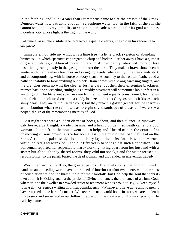in the fetching; and lo, a Greater than Prometheus came to fire the cresset of the Cross. Demeter waits now patiently enough. Persephone waits, too, in the faith of the sun she cannot see: and every lamp lit carries on the crusade which has for its goal a sunless, moonless, city whose light is the Light of the world.

 «Lume e lassu, che visibile face lo creatore a quella creatura, che solo in lui vedere ha la sua pace.»

 Immediately outside my window is a lime tree − a little black skeleton of abundant branches − in which sparrows congregate to chirp and bicker. Farther away I have a glimpse of graceful planes, children of moonlight and mist; their dainty robes, still more or less unsullied, gleam ghostly in the gaslight athwart the dark. They make a brave show even in winter with their feathery branches and swinging tassels, whereas my little tree stands stark and uncompromising, with its horde of sooty sparrows cockney to the last tail feather, and a pathetic inability to look anything but black. Rain comes with strong caressing fingers, and the branches seem no whit the cleaner for her care; but then their glistening blackness mirrors back the succeeding sunlight, as a muddy pavement will sometimes lap our feet in a sea of gold. The little wet sparrows are for the moment equally transformed, for the sun turns their dun−coloured coats to a ruddy bronze, and cries Chrysostom as it kisses each shiny beak. They are dumb Chrysostoms; but they preach a golden gospel, for the sparrows are to London what the rainbow was to eight saved souls out of a waste of waters − a perpetual sign of the remembering mercies of God.

 Last night there was a sudden clatter of hoofs, a shout, and then silence. A runaway cab−horse, a dark night, a wide crossing, and a heavy burden: so death came to a poor woman. People from the house went out to help; and I heard of her, the centre of an unknowing curious crowd, as she lay bonnetless in the mud of the road, her head on the kerb. A rude but painless death: the misery lay in her life; for this woman − worn, white−haired, and wrinkled − had but fifty years to set against such a condition. The policeman reported her respectable, hard−working, living apart from her husband with a sister; but although they shared rooms, they «did not speak,» and the sister refused all responsibility; so the parish buried the dead woman, and thus ended an uneventful tragedy.

Was it her own fault? If so, the greater pathos. The lonely souls that hold out timid hands to an unheeding world have their meed of interior comfort even here, while the sons of consolation wait on the thresh−hold for their footfall: but God help the soul that bars its own door! It is kicking against the pricks of Divine ordinance, the ordinance of a triune God; whether it be the dweller in crowded street or tenement who is proud to say, «I keep myself to myself,» or Seneca writing in pitiful complacency, «Whenever I have gone among men, I have returned home less of a man.» Whatever the next world holds in store, we are bidden in this to seek and serve God in our fellow−men, and in the creatures of His making whom He calls by name.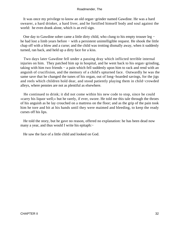It was once my privilege to know an old organ−grinder named Gawdine. He was a hard swearer, a hard drinker, a hard liver, and he fortified himself body and soul against the world: he even drank alone, which is an evil sign.

 One day to Gawdine sober came a little dirty child, who clung to his empty trouser leg − he had lost a limb years before − with a persistent unintelligible request. He shook the little chap off with a blow and a curse; and the child was trotting dismally away, when it suddenly turned, ran back, and held up a dirty face for a kiss.

 Two days later Gawdine fell under a passing dray which inflicted terrible internal injuries on him. They patched him up in hospital, and he went back to his organ−grinding, taking with him two friends − a pain which fell suddenly upon him to rack and rend with an anguish of crucifixion, and the memory of a child's upturned face. Outwardly he was the same save that he changed the tunes of his organ, out of long−hoarded savings, for the jigs and reels which children hold dear, and stood patiently playing them in child−crowded alleys, where pennies are not as plentiful as elsewhere.

 He continued to drink; it did not come within his new code to stop, since he could «carry his liquor well;» but he rarely, if ever, swore. He told me this tale through the throes of his anguish as he lay crouched on a mattress on the floor; and as the grip of the pain took him he tore and bit at his hands until they were maimed and bleeding, to keep the ready curses off his lips.

 He told the story, but he gave no reason, offered no explanation: he has been dead now many a year, and thus would I write his epitaph:−

He saw the face of a little child and looked on God.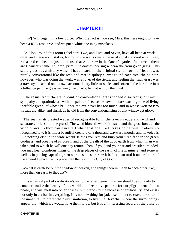### **[CHAPTER III](#page-60-0)**

<span id="page-33-0"></span>*«T*WO began, in a low voice, 'Why, the fact is, you see, Miss, this here ought to have been a RED rose−tree, and we put a white one in by mistake.'»

 As I look round this room I feel sure Two, and Five, and Seven, have all been at work on it, and made no mistakes, for round the walls runs a frieze of squat standard rose−trees, red as red can be, and just like those that Alice saw in the Queen's garden. In between them are Chaucer's name−children, prim little daisies, peering wideawake from green grass. This same grass has a history which I have heard. In the original stencil for the frieze it was purely conventional like the rest, and met in spikey curves round each tree; the painter, however, who was doing the work, was a lover of the fields; and feeling that such grass was a travesty, he added on his own account dainty little tussocks, and softened the hard line into a tufted carpet, the grass growing irregularly, bent at will by the wind.

 The result from the standpoint of conventional art is indeed disastrous; but my sympathy and gratitude are with the painter. I see, as he saw, the far−reaching robe of living ineffable green, of whose brilliance the eye never has too much, and in whose weft no two threads are alike; and shrink as he did from the conventionalising of that windswept glory.

 The sea has its crested waves of recognisable form; the river its eddy and swirl and separate vortices; but the grass! The wind bloweth where it listeth and the grass bows as the wind blows − «thou canst not tell whither it goeth.» It takes no pattern, it obeys no recognised law; it is like a beautiful creature of a thousand wayward moods, and its voice is like nothing else in the wide world. It bids you rest and bury your tired face in the green coolness, and breathe of its breath and of the breath of the good earth from which man was taken and to which he will one day return. Then, if you lend your ear and are silent minded, you may hear wondrous things of the deep places of the earth; of life in mineral and stone as well as in pulsing sap; of a green world as the stars saw it before man trod it under foot − of the emerald which has its place with the rest in the City of God.

 «What if earth Be but the shadow of heaven, and things therein, Each to each other like, more than on earth to thought?»

 It is a natural part of civilisation's lust of re−arrangement that we should be so ready to conventionalise the beauty of this world into decorative patterns for our pilgrim tents. It is a phase, and will melt into other phases; but it tends to the increase of artificiality, and exists not only in art but in everything. It is no new thing for jaded sentiment to crave the spur of the unnatural, to prefer the clever imitation, to live in a Devachan where the surroundings appear that which we would have them to be; but it is an interesting record of the pulse of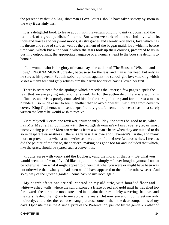the present day that 'An Englishwoman's Love Letters' should have taken society by storm in the way it certainly has.

 It is a delightful book to leave about, with its vellum binding, dainty ribbons, and the hallmark of a great publisher's name. But when we seek within we find love with its thousand voices and wayward moods, its shy graces and seemly reticences, love which has its throne and robe of state as well as the garment of the beggar maid, love which is before time was, which knew the world when the stars took up their courses, presented to us in gushing outpourings, the appropriate language of a woman's heart to the boor she delights to honour.

 «It is woman who is the glory of man,» says the author of 'The House of Wisdom and Love,' «REGINA **MUNDI**, greater, because so far the less; and man is her head, but only as he serves his queen.» Set this sober aphorism against the school girl love−making which kisses a man's feet and gaily refuses him the barren honour of having loved her first.

 There is scant need for the apologia which precedes the letters; a few pages dispels the fear that we are prying into another's soul. As for the authorship, there is a woman's influence, an artist's poorly concealed bias in the foreign letters; and for the rest a man's blunders − so much easier to see in another than to avoid oneself − writ large from cover to cover. King Cophetua, who sends «profoundly grateful remembrances,» has most surely written the letters he would wish to receive.

 «Mrs Meynell!» cries one reviewer, triumphantly. Nay, the saints be good to us, what has Mrs Meynell in common with the «Englishwoman's» language, style, or most unconvincing passion? Men can write as from a woman's heart when they are minded to do so in desperate earnestness – there is Clarissa Harlowe and Stevenson's Kirstie, and many more to prove it; but when a man writes as the author of the «Love Letters» writes, I feel, as did the painter of the frieze, that pattern−making has gone too far and included that which, like the grass, should be spared such a convention.

 «I quite agree with you,» said the Duchess, «and the moral of that is − 'Be what you would seem to be' – or, if you'd like to put it more simply – 'never imagine yourself not to be otherwise than what it might appear to others that what you were or might have been was not otherwise than what you had been would have appeared to them to be otherwise.'» And so by way of the Queen's garden I come back to my room again.

 My heart's affections are still centred on my old attic, with boarded floor and white−washed walls, where the sun blazoned a frieze of red and gold until he travelled too far towards the north, the moon streamed in to paint the trees in inky wavering shadows, and the stars flashed their glory to me across the years. But now sun and moon greet me only indirectly, and under the red roses hang pictures, some of them the dear companions of my days. Opposite me is the Arundel print of the Presentation, painted by the gentle «Brother of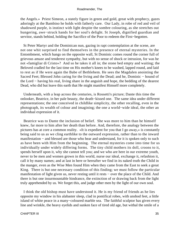the Angels.» Priest Simeon, a stately figure in green and gold, great with prophecy, gazes adoringly at the Bambino he holds with fatherly care. Our Lady, in robe of red and veil of shadowed purple, is instinct with light despite the sombre colouring, as she stretches out hungering, awe−struck hands for her soul's delight. St Joseph, dignified guardian and servitor, stands behind, holding the Sacrifice of the Poor to redeem the First−begotten.

 St Peter Martyr and the Dominican nun, gazing in rapt contemplation at the scene, are not one whit surprised to find themselves in the presence of eternal mysteries. In the Entombment, which hangs on the opposite wall, St Dominic comes round the corner full of grievous amaze and tenderest sympathy, but with no sense of shock or intrusion, for was he not «famigliar di Cristo»? And so he takes it all in; the stone bed empty and waiting; the Beloved cradled for the last time on His mother's knees to be washed, lapped round, and laid to rest as if He were again the Babe of Bethlehem. He sees the Magdalen anointing the Sacred Feet; Blessed John caring for the living and the Dead; and he, Dominic − hound of the Lord − having his real, living share in the anguish and hope, the bedding of the dearest Dead, who did but leave this earth that He might manifest Himself more completely.

 Underneath, with a leap across the centuries, is Rossetti's picture; Dante this time the onlooker, Beatrice, in her pale beauty, the death−kissed one. The same idea under different representations; the one conceived in childlike simplicity, the other recalling, even in the photograph, its wealth of colour and imagining; the one a world−wide ideal, the other an individual expression of it.

 Beatrice was to Dante the inclusion of belief. She was more to him than he himself knew, far more to him after her death than before. And, therefore, the analogy between the pictures has at core a common reality. «It is expedient for you that I go away,» is constantly being said to us as we cling earthlike to the outward expression, rather than to the inward manifestation – and blessed are those who hear and understand, for it is spoken only to such as have been with Him from the beginning. The eternal mysteries come into time for us individually under widely differing forms. The tiny child mothers its doll, croons to it, spends herself upon it, why she cannot tell you; and we who are here in our extreme youth, never to be men and women grown in this world, nurse our ideal, exchange it, refashion it, call it by many names; and at last in here or hereafter we find in its naked truth the Child in the manger, even as the Wise Men found Him when they came from the East to seek a great King. There is but one necessary condition of this finding; we must follow the particular manifestation of light given us, never resting until it rests – over the place of the Child. And there is but one insurmountable hindrance, the extinction of or drawing back from the light truly apprehended by us. We forget this, and judge other men by the light of our own soul.

 I think the old bishop must have understood it. He is my friend of friends as he lies opposite my window in his alabaster sleep, clad in pontifical robes, with unshod feet, a little island of white peace in a many−coloured marble sea. The faithful sculptor has given every line and wrinkle, the heavy eyelids and sunken face of tired old age, but withal the smile of a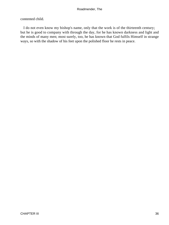### contented child.

 I do not even know my bishop's name, only that the work is of the thirteenth century; but he is good to company with through the day, for he has known darkness and light and the minds of many men; most surely, too, he has known that God fulfils Himself in strange ways, so with the shadow of his feet upon the polished floor he rests in peace.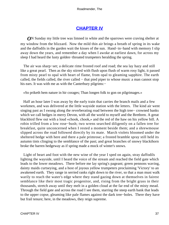### **[CHAPTER IV](#page-60-0)**

<span id="page-37-0"></span>*O*N Sunday my little tree was limned in white and the sparrows were craving shelter at my window from the blizzard. Now the mild thin air brings a breath of spring in its wake and the daffodils in the garden wait the kisses of the sun. Hand−in−hand with memory I slip away down the years, and remember a day when I awoke at earliest dawn, for across my sleep I had heard the lusty golden−throated trumpeters heralding the spring.

The air was sharp–set; a delicate rime frosted roof and road; the sea lay hazy and still like a great pearl. Then as the sky stirred with flush upon flush of warm rosy light, it passed from misty pearl to opal with heart of flame, from opal to gleaming sapphire. The earth called, the fields called, the river called − that pied piper to whose music a man cannot stop his ears. It was with me as with the Canterbury pilgrims:−

«So priketh hem nature in hir corages; Than longen folk to gon on pilgrimages.»

 Half an hour later I was away by the early train that carries the branch mails and a few workmen, and was delivered at the little wayside station with the letters. The kind air went singing past as I swung along the reverberating road between the high tree− crowned banks which we call hedges in merry Devon, with all the world to myself and the Brethren. A great blackbird flew out with a loud «chook, chook,» and the red of the haw on his yellow bill. A robin trilled from a low rose−bush; two wrens searched diligently on a fallen tree for breakfast, quite unconcerned when I rested a moment beside them; and a shrewmouse slipped across the road followed directly by its mate. March violets bloomed under the sheltered hedge with here and there a pale primrose; a frosted bramble spray still held its autumn tints clinging to the semblance of the past; and great branches of snowy blackthorn broke the barren hedgeway as if spring made a mock of winter's snows.

 Light of heart and foot with the new wine of the year I sped on again, stray daffodils lighting the wayside, until I heard the voice of the stream and reached the field gate which leads to the lower meadows. There before me lay spring's pageant; green pennons waving, dainty maids curtseying, and a host of joyous yellow trumpeters proclaiming 'Victory' to an awakened earth. They range in serried ranks right down to the river, so that a man must walk warily to reach the water's edge where they stand gazing down at themselves in fairest semblance like their most tragic progenitor, and, rising from the bright grass in their thousands, stretch away until they melt in a golden cloud at the far end of the misty mead. Through the field gate and across the road I see them, starring the steep earth bank that leads to the upper copse, gleaming like pale flames against the dark tree−boles. There they have but frail tenure; here, in the meadows, they reign supreme.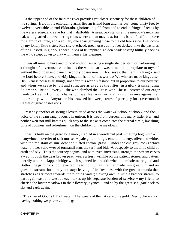At the upper end of the field the river provides yet closer sanctuary for these children of the spring. Held in its embracing arms lies an island long and narrow, some thirty feet by twelve, a veritable untrod Eldorado, glorious in gold from end to end, a fringe of reeds by the water's edge, and save for that − daffodils. A great oak stands at the meadow's neck, an oak with gnarled and wandering roots where a man may rest, for it is bare of daffodils save for a group of three, and a solitary one apart growing close to the old tree's side. I sat down by my lonely little sister, blue sky overhead, green grass at my feet decked, like the pastures of the Blessed, in glorious sheen; a sea of triumphant, golden heads tossing blithely back as the wind swept down to play with them at his pleasure.

 It was all mine to have and to hold without severing a single slender stem or harbouring a thought of covetousness; mine, as the whole earth was mine, to appropriate to myself without the burden and bane of worldly possession. «Thou sayest that I am − a King,» said the Lord before Pilate, and «My kingdom is not of this world.» We who are made kings after His likeness possess all things, not after this world's fashion but in proportion to our poverty; and when we cease to toil and spin, are arrayed as the lilies, in a glory transcending Solomon's. Bride Poverty − she who climbed the Cross with Christ − stretched out eager hands to free us from our chains, but we flee from her, and lay up treasure against her importunity, while Amytas on his seaweed bed weeps tears of pure pity for crave−mouth Caesar of great possessions.

 Presently another of spring's lovers cried across the water «Cuckoo, cuckoo,» and the voice of the stream sang joyously in unison. It is free from burden, this merry little river, and neither weir nor mill bars its quick way to the sea as it completes the eternal circle, lavishing gifts of coolness and refreshment on the children of the meadows.

 It has its birth on the great lone moor, cradled in a wonderful peat−smelling bog, with a many–hued coverlet of soft mosses – pale gold, orange, emerald, tawny, olive and white, with the red stain of sun−dew and tufted cotton−grass. Under the old grey rocks which watch it rise, yellow−eyed tormantil stars the turf, and bids «Godspeed» to the little child of earth and sky. Thus the journey begins; and with ever−increasing strength the stream carves a way through the dear brown peat, wears a fresh wrinkle on the patient stones, and patters merrily under a clapper bridge which spanned its breadth when the mistletoe reigned and Bottor, the grim rock idol, exacted the toll of human life that made him great. On and on goes the stream, for it may not stay; leaving of its freshness with the great osmunda that stretches eager roots towards the running water; flowing awhile with a brother stream, to part again east and west as each takes up his separate burden of service − my friend to cherish the lower meadows in their flowery joyance − and so by the great sea−gate back to sky and earth again.

 The river of God is full of water. The streets of the City are pure gold. Verily, here also having nothing we possess all things.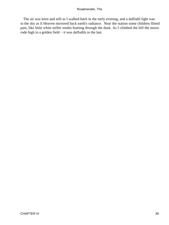The air was keen and still as I walked back in the early evening, and a daffodil light was in the sky as if Heaven mirrored back earth's radiance. Near the station some children flitted past, like little white miller moths homing through the dusk. As I climbed the hill the moon rode high in a golden field − it was daffodils to the last.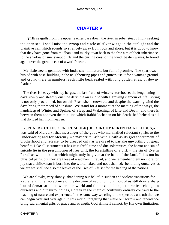# **[CHAPTER V](#page-60-0)**

<span id="page-40-0"></span>**THE** seagulls from the upper reaches pass down the river in sober steady flight seeking the open sea. I shall miss the swoop and circle of silver wings in the sunlight and the plaintive call which sounds so strangely away from rock and shore, but it is good to know that they have gone from mudbank and murky town back to the free airs of their inheritance, to the shadow of sun−swept cliffs and the curling crest of the wind−beaten waves, to brood again over the great ocean of a world's tears.

 My little tree is gemmed with buds, shy, immature, but full of promise. The sparrows busied with nest−building in the neighbouring pipes and gutters use it for a vantage ground, and crowd there in numbers, each little beak sealed with long golden straw or downy feather.

 The river is heavy with hay barges, the last fruits of winter's storehouse; the lengthening days slowly and steadily oust the dark; the air is loud with a growing clamour of life: spring is not only proclaimed, but on this Feast she is crowned, and despite the warring wind the days bring their meed of sunshine. We stand for a moment at the meeting of the ways, the handclasp of Winter and Spring, of Sleep and Wakening, of Life and Death; and there is between them not even the thin line which Rabbi Jochanan on his death−bed beheld as all that divided hell from heaven.

 «SPHAERA **CUJUS CENTRUM UBIQUE, CIRCUMFERENTIA** NULLIBUS,» was said of Mercury, that messenger of the gods who marshalled reluctant spirits to the Underworld; and for Mercury we may write Life with Death as its great sacrament of brotherhood and release, to be dreaded only as we dread to partake unworthily of great benefits. Like all sacraments it has its rightful time and due solemnities; the horror and sin of suicide lie in the presumption of free will, the forestalling of a gift, – the sin of Eve in Paradise, who took that which might only be given at the hand of the Lord. It has too its physical pains, but they are those of a woman in travail, and we remember them no more for joy that a child−man is born into the world naked and not ashamed: beholding ourselves as we are we shall see also the leaves of the Tree of Life set for the healing of the nations.

 We are slowly, very slowly, abandoning our belief in sudden and violent transitions for a surer and fuller acceptance of the doctrine of evolution; but most of us still draw a sharp line of demarcation between this world and the next, and expect a radical change in ourselves and our surroundings, a break in the chain of continuity entirely contrary to the teaching of nature and experience. In the same way we cling to the specious untruth that we can begin over and over again in this world, forgetting that while our sorrow and repentance bring sacramental gifts of grace and strength, God Himself cannot, by His own limitation,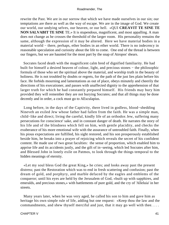rewrite the Past. We are in our sorrow that which we have made ourselves in our sin; our temptations are there as well as the way of escape. We are in the image of God. We create our world, our undying selves, our heaven, or our hell. «QUI **CREAVIT TE SINE TE NON SALVABIT TE SINE** TE.» It is stupendous, magnificent, and most appalling. A man does not change as he crosses the threshold of the larger room. His personality remains the same, although the expression of it may be altered. Here we have material bodies in a material world − there, perhaps, ether bodies in an ether world. There is no indecency in reasonable speculation and curiosity about the life to come. One end of the thread is between our fingers, but we are haunted for the most part by the snap of Atropos' shears.

 Socrates faced death with the magnificent calm bred of dignified familiarity. He had built for himself a desired heaven of colour, light, and precious stones − the philosophic formula of those who set the spiritual above the material, and worship truth in the beauty of holiness. He is not troubled by doubts or regrets, for the path of the just lies plain before his face. He forbids mourning and lamentations as out of place, obeys minutely and cheerily the directions of his executioner, and passes with unaffected dignity to the apprehension of that larger truth for which he had constantly prepared himself. His friends may bury him provided they will remember they are not burying Socrates; and that all things may be done decently and in order, a cock must go to AEsculapius.

 Long before, in the days of the Captivity, there lived in godless, blood−shedding Nineveh an exiled Jew whose father had fallen from the faith. He was a simple man, child−like and direct; living the careful, kindly life of an orthodox Jew, suffering many persecutions for conscience' sake, and in constant danger of death. He narrates the story of his life and of the blindness which fell on him, with gentle placidity, and checks the exuberance of his more emotional wife with the assurance of untroubled faith. Finally, when his pious expectations are fulfilled, his sight restored, and his son prosperously established beside him, he breaks into a prayer of rejoicing which reveals the secret of his confident content. He made use of two great faculties: the sense of proportion, which enabled him to apprise life and its accidents justly, and the gift of in−seeing, which led Socrates after him, and Blessed John in lonely exile on Patmos, to look through the things temporal to the hidden meanings of eternity.

 «Let my soul bless God the great King,» he cries; and looks away past the present distress; past the Restoration which was to end in fresh scattering and confusion; past the dream of gold, and porphyry, and marble defaced by the eagles and emblems of the conqueror; until his eyes are held by the Jerusalem of God, «built up with sapphires, and emeralds, and precious stones,» with battlements of pure gold, and the cry of 'Alleluia' in her streets.

 Many years later, when he was very aged, he called his son to him and gave him as heritage his own simple rule of life, adding but one request: «Keep thou the law and the commandments, and shew thyself merciful and just, that it may go well with thee. . . .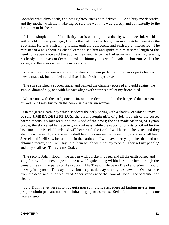Consider what alms doeth, and how righteousness doth deliver. . . . And bury me decently, and thy mother with me.» Having so said, he went his way quietly and contentedly to the Jerusalem of his heart.

 It is the simple note of familiarity that is wanting in us; that by which we link world with world. Once, years ago, I sat by the bedside of a dying man in a wretched garret in the East End. He was entirely ignorant, entirely quiescent, and entirely uninterested. The minister of a neighbouring chapel came to see him and spoke to him at some length of the need for repentance and the joys of heaven. After he had gone my friend lay staring restlessly at the mass of decrepit broken chimney pots which made his horizon. At last he spoke, and there was a new note in his voice:−

 «Ee said as 'ow there were golding streets in them parts. I ain't no ways particler wot they're made of, but it'll feel natral like if there's chimleys too.»

 The sun stretched a sudden finger and painted the chimney pots red and gold against the smoke−dimmed sky, and with his face alight with surprised relief my friend died.

 We are one with the earth, one in sin, one in redemption. It is the fringe of the garment of God. «If I may but touch the hem,» said a certain woman.

 On the great Death−day which shadows the early spring with a shadow of which it may be said **UMBRA DEI EST LUX,** the earth brought gifts of grief, the fruit of the curse, barren thorns, hollow reed, and the wood of the cross; the sea made offering of Tyrian purple; the sky veiled her face in great darkness, while the nation of priests crucified for the last time their Paschal lamb. «I will hear, saith the Lord; I will hear the heavens, and they shall hear the earth, and the earth shall hear the corn and wine and oil, and they shall hear Jezreel, and I will sow her unto me in the earth; and I will have mercy upon her that had not obtained mercy, and I will say unto them which were not my people, 'Thou art my people,' and they shall say 'Thou art my God.'»

 The second Adam stood in the garden with quickening feet, and all the earth pulsed and sang for joy of the new hope and the new life quickening within her, to be hers through the pains of travail, the pangs of dissolution. The Tree of Life bears Bread and Wine − food of the wayfaring man. The day of divisions is past, the day of unity has dawned. One has risen from the dead, and in the Valley of Achor stands wide the Door of Hope − the Sacrament of Death.

 Scio Domine, et vere scio . . . quia non sum dignus accedere ad tantum mysterium propter nimia peccata mea et infinitas negligentias meas. Sed scio . . . quia tu potes me facere dignum.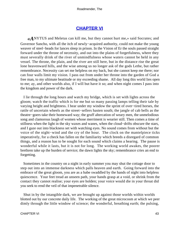### **[CHAPTER VI](#page-60-0)**

<span id="page-43-0"></span>*«A*NYTUS and Meletus can kill me, but they cannot hurt me,» said Socrates; and Governor Sancho, with all the itch of newly−acquired authority, could not make the young weaver of steel−heads for lances sleep in prison. In the Vision of Er the souls passed straight forward under the throne of necessity, and out into the plains of forgetfulness, where they must severally drink of the river of unmindfulness whose waters cannot be held in any vessel. The throne, the plain, and the river are still here, but in the distance rise the great lone heavenward hills, and the wise among us no longer ask of the gods Lethe, but rather remembrance. Necessity can set me helpless on my back, but she cannot keep me there; nor can four walls limit my vision. I pass out from under her throne into the garden of God a free man, to my ultimate beatitude or my exceeding shame. All day long this world lies open to me; ay, and other worlds also, if I will but have it so; and when night comes I pass into the kingdom and power of the dark.

 I lie through the long hours and watch my bridge, which is set with lights across the gloom; watch the traffic which is for me but so many passing lamps telling their tale by varying height and brightness. I hear under my window the sprint of over−tired horses, the rattle of uncertain wheels as the street−sellers hasten south; the jangle of cab bells as the theatre−goers take their homeward way; the gruff altercation of weary men, the unmelodious song and clamorous laugh of women whose merriment is wearier still. Then comes a time of stillness when the light in the sky waxes and wanes, when the cloud−drifts obscure the stars, and I gaze out into blackness set with watching eyes. No sound comes from without but the voice of the night−wind and the cry of the hour. The clock on the mantelpiece ticks imperatively, for a check has fallen on the familiarity which breeds a disregard of common things, and a reason has to be sought for each sound which claims a hearing. The pause is wonderful while it lasts, but it is not for long. The working world awakes, the poorer brethren take up the burden of service; the dawn lights the sky; remembrance cries an end to forgetting.

 Sometimes in the country on a night in early summer you may shut the cottage door to step out into an immense darkness which palls heaven and earth. Going forward into the embrace of the great gloom, you are as a babe swaddled by the hands of night into helpless quiescence. Your feet tread an unseen path, your hands grasp at a void, or shrink from the contact they cannot realise; your eyes are holden; your voice would die in your throat did you seek to rend the veil of that impenetrable silence.

 Shut in by the intangible dark, we are brought up against those worlds within worlds blotted out by our concrete daily life. The working of the great microcosm at which we peer dimly through the little window of science; the wonderful, breathing earth; the pulsing,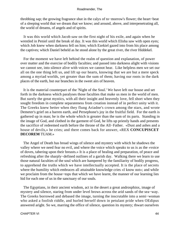throbbing sap; the growing fragrance shut in the calyx of to−morrow's flower; the heart−beat of a sleeping world that we dream that we know; and around, above, and interpenetrating all, the world of dreams, of angels and of spirits.

 It was this world which Jacob saw on the first night of his exile, and again when he wrestled in Peniel until the break of day. It was this world which Elisha saw with open eyes; which Job knew when darkness fell on him; which Ezekiel gazed into from his place among the captives; which Daniel beheld as he stood alone by the great river, the river Hiddekel.

 For the moment we have left behind the realm of question and explanation, of power over matter and the exercise of bodily faculties; and passed into darkness alight with visions we cannot see, into silence alive with voices we cannot hear. Like helpless men we set our all on the one thing left us, and lift up our hearts, knowing that we are but a mere speck among a myriad worlds, yet greater than the sum of them; having our roots in the dark places of the earth, but our branches in the sweet airs of heaven.

 It is the material counterpart of the 'Night of the Soul.' We have left our house and set forth in the darkness which paralyses those faculties that make us men in the world of men. But surely the great mystics, with all their insight and heavenly love, fell short when they sought freedom in complete separateness from creation instead of in perfect unity with it. The Greeks knew better when they flung Ariadne's crown among the stars, and wrote Demeter's grief on a barren earth, and Persephone's joy in the fruitful field. For the earth is gathered up in man; he is the whole which is greater than the sum of its parts. Standing in the image of God, and clothed in the garment of God, he lifts up priestly hands and presents the sacrifice of redeemed earth before the throne of the All−Father. «Dust and ashes and a house of devils,» he cries; and there comes back for answer, «REX **CONCUPISCET DECOREM** TUAM.»

 The Angel of Death has broad wings of silence and mystery with which he shadows the valley where we need fear no evil, and where the voice which speaks to us is as the «voice of doves, tabering upon their breasts.» It is a place of healing and preparation, of peace and refreshing after the sharply−defined outlines of a garish day. Walking there we learn to use those natural faculties of the soul which are hampered by the familiarity of bodily progress, to apprehend the truths which we have intellectually accepted. It is the place of secrets where the humility which embraces all attainable knowledge cries «I know not»; and while we proclaim from the house−tops that which we have learnt, the manner of our learning lies hid for each one of us in the sanctuary of our souls.

 The Egyptians, in their ancient wisdom, act in the desert a great androsphinx, image of mystery and silence, staring from under level brows across the arid sands of the sea−way. The Greeks borrowed and debased the image, turning the inscrutable into a semi−woman who asked a foolish riddle, and hurled herself down in petulant pride when OEdipus answered aright. So we, marring the office of silence, question its mystery; thwart ourselves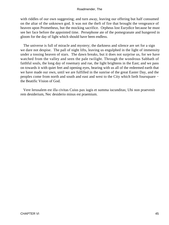with riddles of our own suggesting; and turn away, leaving our offering but half consumed on the altar of the unknown god. It was not the theft of fire that brought the vengeance of heaven upon Prometheus, but the mocking sacrifice. Orpheus lost Eurydice because he must see her face before the appointed time. Persephone ate of the pomegranate and hungered in gloom for the day of light which should have been endless.

 The universe is full of miracle and mystery; the darkness and silence are set for a sign we dare not despise. The pall of night lifts, leaving us engulphed in the light of immensity under a tossing heaven of stars. The dawn breaks, but it does not surprise us, for we have watched from the valley and seen the pale twilight. Through the wondrous Sabbath of faithful souls, the long day of rosemary and rue, the light brightens in the East; and we pass on towards it with quiet feet and opening eyes, bearing with us all of the redeemed earth that we have made our own, until we are fulfilled in the sunrise of the great Easter Day, and the peoples come from north and south and east and west to the City which lieth foursquare − the Beatific Vision of God.

 Vere Ierusalem est illa civitas Cuius pax iugis et summa iucunditas; Ubi non praevenit rem desiderium, Nec desiderio minus est praemium.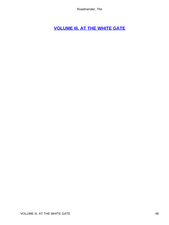<span id="page-46-0"></span>**[VOLUME III. AT THE WHITE GATE](#page-60-0)**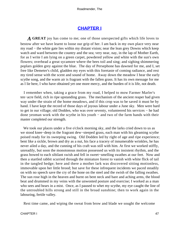# **[CHAPTER I](#page-60-0)**

<span id="page-47-0"></span>*A* **GREAT** joy has come to me; one of those unexpected gifts which life loves to bestow after we have learnt to loose our grip of her. I am back in my own place very near my road − the white gate lies within my distant vision; near the lean grey Downs which keep watch and ward between the country and the sea; very near, nay, in the lap of Mother Earth, for as I write I am lying on a green carpet, powdered yellow and white with the sun's own flowers; overhead a great sycamore where the bees toil and sing; and sighing shimmering poplars golden grey against the blue. The day of Persephone has dawned for me, and I, set free like Demeter's child, gladden my eyes with this foretaste of coming radiance, and rest my tired sense with the scent and sound of home. Away down the meadow I hear the early scythe song, and the warm air is fragrant with the fallen grass. It has its own message for me as I lie here, I who have obtained yet one more mercy, and the burden of it is life, not death.

 I remember when, taking a grace from my road, I helped to mow Farmer Marler's ten−acre field, rich in ripe upstanding grass. The mechanism of the ancient reaper had given way under the strain of the home meadows, and if this crop was to be saved it must be by hand. I have kept the record of those days of joyous labour under a June sky. Men were hard to get in our village; old Dodden, who was over seventy, volunteered his services − he had done yeoman work with the scythe in his youth − and two of the farm hands with their master completed our strength.

We took our places under a five o'clock morning sky, and the larks cried down to us as we stood knee−deep in the fragrant dew−steeped grass, each man with his gleaming scythe poised ready for its sweeping swing. Old Dodden led by right of age and ripe experience; bent like a sickle, brown and dry as a nut, his face a tracery of innumerable wrinkles, he has never ailed a day, and the cunning of his craft was still with him. At first we worked stiffly, unreadily, but soon the monotonous motion possessed us with its insistent rhythm, and the grass bowed to each sibilant swish and fell in sweet−smelling swathes at our feet. Now and then a startled rabbit scurried through the miniature forest to vanish with white flick of tail in the tangled hedge; here and there a mother lark was discovered sitting motionless, immovable upon her little brood; but save for these infrequent incidents we paced steadily on with no speech save the cry of the hone on the steel and the swish of the falling swathes. The sun rose high in the heaven and burnt on bent neck and bare and aching arms, the blood beat and drummed in my veins with the unwonted posture and exercise; I worked as a man who sees and hears in a mist. Once, as I paused to whet my scythe, my eye caught the line of the untroubled hills strong and still in the broad sunshine; then to work again in the labouring, fertile valley.

Rest time came, and wiping the sweat from brow and blade we sought the welcome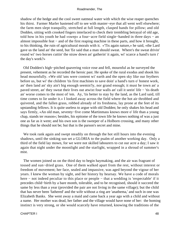shadow of the hedge and the cool sweet oatmeal water with which the wise reaper quenches his thirst. Farmer Marler hastened off to see with master−eye that all went well elsewhere; the farm men slept tranquilly, stretched at full length, clasped hands for pillow; and old Dodden, sitting with crooked fingers interlaced to check their trembling betrayal of old age, told how in his youth he had «swep» a four−acre field single−handed in three days − an almost impossible feat − and of the first reaping machine in these parts, and how it brought, to his thinking, the ruin of agricultural morals with it. «'Tis again nature,» he said, «the Lard gave us the land an' the seed, but 'Ee said that a man should sweat. Where's the sweat drivin' round wi' two horses cuttin' the straw down an' gatherin' it again, wi' scarce a hand's turn i' the day's work?»

 Old Dodden's high−pitched quavering voice rose and fell, mournful as he surveyed the present, vehement as he recorded the heroic past. He spoke of the rural exodus and shook his head mournfully. «We old 'uns were content wi' earth and the open sky like our feythers before us, but wi' the children 'tis first machines to save doin' a hand's turn o' honest work, an' then land an' sky ain't big enough seemin'ly, nor grand enough; it must be town an' a paved street, an' they sweat their lives out atwixt four walls an' call it seein' life − 'tis death an' worse comes to the most of 'em. Ay, 'tis better to stay by the land, as the Lard said, till time comes to lie under it.» I looked away across the field where the hot air throbbed and quivered, and the fallen grass, robbed already of its freshness, lay prone at the feet of its upstanding fellows. It is quite useless to argue with old Dodden; he only shakes his head and says firmly, «An old man, seventy−five come Martinmass knows more o' life than a young chap, stands ter reason»; besides, his epitome of the town life he knows nothing of was a just one as far as it went; and his own son is the sweeper of a Holborn crossing, and many other things that he should not be; but that is the parson's secret and mine.

We took rank again and swept steadily on through the hot still hours into the evening shadows, until the sinking sun set a GLORIA to the psalm of another working day. Only a third of the field lay mown, for we were not skilled labourers to cut our acre a day; I saw it again that night under the moonlight and the starlight, wrapped in a shroud of summer's mist.

 The women joined us on the third day to begin haymaking, and the air was fragrant of tossed and sun−dried grass. One of them walked apart from the rest, without interest or freedom of movement; her face, sealed and impassive, was aged beyond the vigour of her years. I knew the woman by sight, and her history by hearsay. We have a code of morals here − not indeed peculiar to this place or people − that a wedding is 'respectable' if it precedes child−birth by a bare month, tolerable, and to be recognised, should it succeed the same by less than a year (provided the pair are not living in the same village); but the child that has never been 'fathered' and the wife without a ring are 'anathema,' and such in one was Elizabeth Banks. She went away a maid and came back a year ago with a child and without a name. Her mother was dead, her father and the village would have none of her: the homing instinct is very strong, or she would scarcely have returned, knowing the traditions of the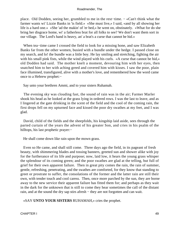place. Old Dodden, seeing her, grumbled to me in the rest−time. − «Can't think what the farmer wants wi' Lizzie Banks in 'is field.» «She must live,» I said, «and by all showing her life is a hard one.» «She 'ad the makin' of 'er bed,» he went on, obstinately. «What for do she bring her disgrace home, wi' a fatherless brat for all folks to see? We don't want them sort in our village. The Lord's hand is heavy, an' a brat's a curse that cannot be hid.»

 When tea−time came I crossed the field to look for a missing hone, and saw Elizabeth Banks far from the other women, busied with a bundle under the hedge. I passed close on my search, and lo! the bundle was a little boy. He lay smiling and stretching, fighting the air with his small pink fists, while the wind played with his curls. «A curse that cannot be hid,» old Dodden had said. The mother knelt a moment, devouring him with her eyes, then snatched him to her with aching greed and covered him with kisses. I saw the poor, plain face illumined, transfigured, alive with a mother's love, and remembered how the word came once to a Hebrew prophet:−

Say unto your brethren Ammi, and to your sisters Ruhamah.

 The evening sky was clouding fast, the sound of rain was in the air; Farmer Marler shook his head as he looked at the grass lying in ordered rows. I was the last to leave, and as I lingered at the gate drinking in the scent of the field and the cool of the coming rain, the first drops fell on my upturned face and kissed the poor dry swathes at my feet, and I was glad.

 David, child of the fields and the sheepfolds, his kingship laid aside, sees through the parted curtain of the years the advent of his greater Son, and cries in his psalm of the hilltops, his last prophetic prayer:−

He shall come down like rain upon the mown grass.

 Even so He came, and shall still come. Three days ago the field, in its pageant of fresh beauty, with shimmering blades and tossing banners, greeted sun and shower alike with joy for the furtherance of its life and purpose; now, laid low, it hears the young grass whisper the splendour of its coming green; and the poor swathes are glad at the telling, but full of grief for their own apparent failure. Then in great pity comes the rain, the rain of summer, gentle, refreshing, penetrating, and the swathes are comforted, for they know that standing to greet or prostrate to suffer, the consolations of the former and the latter rain are still their own, with tender touch and cool caress. Then, once more parched by the sun, they are borne away to the new service their apparent failure has fitted them for; and perhaps as they wait in the dark for the unknown that is still to come they hear sometimes the call of the distant rain, and at the sound the dry sap stirs afresh − they are not forgotten and can wait.

«SAY **UNTO YOUR SISTERS** RUHAMAH,» cries the prophet.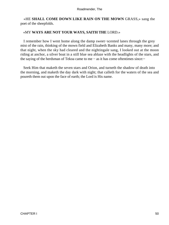«HE **SHALL COME DOWN LIKE RAIN ON THE MOWN** GRASS,» sang the poet of the sheepfolds.

### «MY **WAYS ARE NOT YOUR WAYS, SAITH THE** LORD.»

 I remember how I went home along the damp sweet−scented lanes through the grey mist of the rain, thinking of the mown field and Elizabeth Banks and many, many more; and that night, when the sky had cleared and the nightingale sang, I looked out at the moon riding at anchor, a silver boat in a still blue sea ablaze with the headlights of the stars, and the saying of the herdsman of Tekoa came to me − as it has come oftentimes since:−

 Seek Him that maketh the seven stars and Orion, and turneth the shadow of death into the morning, and maketh the day dark with night; that calleth for the waters of the sea and poureth them out upon the face of earth; the Lord is His name.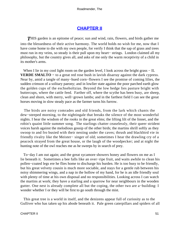### **[CHAPTER II](#page-60-0)**

<span id="page-51-0"></span>**THIS** garden is an epitome of peace; sun and wind, rain, flowers, and birds gather me into the blessedness of their active harmony. The world holds no wish for me, now that I have come home to die with my own people, for verify I think that the sap of grass and trees must run in my veins, so steady is their pull upon my heart− strings. London claimed all my philosophy, but the country gives all, and asks of me only the warm receptivity of a child in its mother's arms.

When I lie in my cool light room on the garden level, I look across the bright grass – IL **VERDE SMALTO** − to a great red rose bush in lavish disarray against the dark cypress. Near by, amid a tangle of many−hued corn−flowers I see the promise of coming lilies, the sudden crimson of a solitary paeony; and in lowlier state against the poor parched earth glow the golden cups of the eschseholtzias. Beyond the low hedge lies pasture bright with buttercups, where the cattle feed. Farther off, where the scythe has been busy, are sheep, clean and shorn, with merry, well−grown lambs; and in the farthest field I can see the great horses moving in slow steady pace as the farmer turns his furrow.

 The birds are noisy comrades and old friends, from the lark which chants the dew−steeped morning, to the nightingale that breaks the silence of the most wonderful nights. I hear the wisdom of the rooks in the great elms; the lifting lilt of the linnet, and the robin's quaint little summer song. The starlings chatter ceaselessly, their queer strident voices harsh against the melodious gossip of the other birds; the martins shrill softly as they swoop to and fro busied with their nesting under the caves; thrush and blackbird vie in friendly rivalry like the Meister− singer of old; sometimes I hear the drawling cry of a peacock strayed from the great house, or the laugh of the woodpecker; and at night the hunting note of the owl reaches me as he sweeps by in search of prey.

 To−day I am out again; and the great sycamore showers honey and flowers on me as I lie beneath it. Sometimes a bee falls like an over−ripe fruit, and waits awhile to clean his pollen−coated legs ere he flies home to discharge his burden. He is too busy to be friendly, but his great velvety cousin is much more sociable, and stays for a gentle rub between his noisy shimmering wings, and a nap in the hollow of my hand, for he is an idle friendly soul with plenty of time at his own disposal and no responsibilities. Looking across I can watch the martins at work; they have a starling and a sparrow for near neighbours in the wooden gutter. One nest is already complete all but the coping, the other two are a−building: I wonder whether I or they will be first to go south through the mist.

 This great tree is a world in itself, and the denizens appear full of curiosity as to the Gulliver who has taken up his abode beneath it. Pale green caterpillars and spiders of all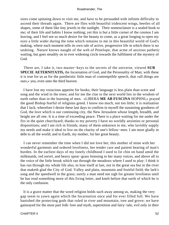sizes come spinning down to visit me, and have to be persuaded with infinite difficulty to ascend their threads again. There are flies with beautiful iridescent wings, beetles of all shapes, some of them like tiny jewels in the sunlight. Their nomenclature is a sealed book to me; of their life and habits I know nothing; yet this is but a little corner of the cosmos I am leaving, and I feel not so much desire for the beauty to come, as a great longing to open my eyes a little wider during the time which remains to me in this beautiful world of God's making, where each moment tells its own tale of active, progressive life in which there is no undoing. Nature knows naught of the web of Penelope, that acme of anxious pathetic waiting, but goes steadily on in ever widening circle towards the fulfilment of the mystery of God.

 There are, I take it, two master−keys to the secrets of the universe, viewed **SUB SPECIE AETERNITATIS,** the Incarnation of God, and the Personality of Man; with these it is true for us as for the pantheistic little man of contemptible speech, that «all things are ours,» yea, even unto the third heaven.

 I have lost my voracious appetite for books; their language is less plain than scent and song and the wind in the trees; and for me the clue to the next world lies in the wisdom of earth rather than in the learning of men. «LIBERA **ME AB FUSCINA** HOPHNI,» prayed the good Bishop fearful of religious greed. I know too much, not too little; it is realisation that I lack, wherefore I desire these last days to confirm in myself the sustaining goodness of God, the love which is our continuing city, the New Jerusalem whose length, breadth, and height are all one. It is a time of exceeding peace. There is a place waiting for me under the firs in the quiet churchyard; thanks to my poverty I have no worldly anxieties or personal dispositions; and I am rich in friends, many of them unknown to me, who lavishly supply my needs and make it ideal to live on the charity of one's fellow−men. I am most gladly in debt to all the world; and to Earth, my mother, for her great beauty.

 I can never remember the time when I did not love her, this mother of mine with her wonderful garments and ordered loveliness, her tender care and patient bearing of man's burden. In the earliest days of my lonely childhood I used to lie chin on hand amid the milkmaids, red sorrel, and heavy spear−grass listening to her many voices, and above all to the voice of the little brook which ran through the meadows where I used to play: I think it has run through my whole life also, to lose itself at last, not in the great sea but in the river that maketh glad the City of God. Valley and plain, mountain and fruitful field; the lark's song and the speedwell in the grass; surely a man need not sigh for greater loveliness until he has read something more of this living letter, and knelt before that earth of which he is the only confusion.

 It is a grave matter that the word religion holds such away among us, making the very gap seem to yawn again which the Incarnation once and for ever filled full. We have banished the protecting gods that ruled in river and mountain, tree and grove; we have gainsayed for the most part folk−lore and myth, superstition and fairy−tale, evil only in their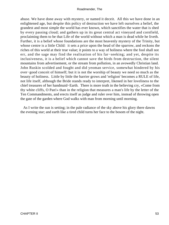abuse. We have done away with mystery, or named it deceit. All this we have done in an enlightened age, but despite this policy of destruction we have left ourselves a belief, the grandest and most simple the world has ever known, which sanctifies the water that is shed by every passing cloud; and gathers up in its great central act vineyard and cornfield, proclaiming them to be that Life of the world without which a man is dead while he liveth. Further, it is a belief whose foundations are the most heavenly mystery of the Trinity, but whose centre is a little Child: it sets a price upon the head of the sparrow, and reckons the riches of this world at their true value; it points to a way of holiness where the fool shall not err, and the sage may find the realisation of his far−seeking; and yet, despite its inclusiveness, it is a belief which cannot save the birds from destruction, the silent mountains from advertisement, or the stream from pollution, in an avowedly Christian land. John Ruskin scolded and fought and did yeoman service, somewhat hindered by his over−good conceit of himself; but it is not the worship of beauty we need so much as the beauty of holiness. Little by little the barrier grows and 'religion' becomes a RULE of life, not life itself, although the Bride stands ready to interpret, likened in her loveliness to the chief treasures of her handmaid−Earth. There is more truth in the believing cry, «Come from thy white cliffs, O Pan!» than in the religion that measures a man's life by the letter of the Ten Commandments, and erects itself as judge and ruler over him, instead of throwing open the gate of the garden where God walks with man from morning until morning.

 As I write the sun is setting; in the pale radiance of the sky above his glory there dawns the evening star; and earth like a tired child turns her face to the bosom of the night.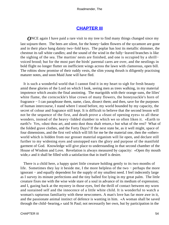### **[CHAPTER III](#page-60-0)**

<span id="page-54-0"></span>*ONCE* again I have paid a rare visit to my tree to find many things changed since my last sojourn there. The bees are silent, for the honey−laden flowers of the sycamore are gone and in their place hang dainty two−fold keys. The poplar has lost its metallic shimmer, the chestnut its tall white candles; and the sound of the wind in the fully−leaved branches is like the sighing of the sea. The martins' nests are finished, and one is occupied by a shrill− voiced brood; but for the most part the birds' parental cares are over, and the nestlings in bold flight no longer flutter on inefficient wings across the lawn with clamorous, open bill. The robins show promise of their ruddy vests, the slim young thrush is diligently practising maturer notes, and soon Maid June will have fled.

 It is such a wonderful world that I cannot find it in my heart to sigh for fresh beauty amid these glories of the Lord on which I look, seeing men as trees walking, in my material impotence which awaits the final anointing. The marigolds with their orange suns, the lilies' white flame, the corncockle's blue crown of many flowers, the honeysuckle's horn of fragrance − I can paraphrase them, name, class, dissect them; and then, save for the purposes of human intercourse, I stand where I stood before, my world bounded by my capacity, the secret of colour and fragrance still kept. It is difficult to believe that the second lesson will not be the sequence of the first, and death prove a «feast of opening eyes» to all these wonders, instead of the heavy−lidded slumber to which we so often liken it. «Earth to earth?» Yes, «dust thou art, and unto dust thou shalt return,» but what of the rest? What of the folded grave clothes, and the Forty Days? If the next state be, as it well might, space of four dimensions, and the first veil which will lift for me be the material one, then the «other» world which is hidden from our grosser material organism will lie open, and declare still further to my widening eyes and unstopped ears the glory and purpose of the manifold garment of God. Knowledge will give place to understanding in that second chamber of the House of Wisdom and Love. Revelation is always measured by capacity: «Open thy mouth wide,» and it shall be filled with a satisfaction that in itself is desire.

 There is a child here, a happy quiet little creature holding gently to its two months of life. Sometimes they lay it beside me, I the more helpless of the two − perhaps the more ignorant − and equally dependent for the supply of my smallest need. I feel indecently large as I survey its minute perfections and the tiny balled fist lying in my great palm. The little creature fixes me with the wise wide stare of a soul in advance of its medium of expression; and I, gazing back at the mystery in those eyes, feel the thrill of contact between my worn and sustained self and the innocence of a little white child. It is wonderful to watch a woman's rapturous familiarity with these newcomers. A man's love has far more awe in it, and the passionate animal instinct of defence is wanting in him. «A woman shall be saved through the child−bearing,» said St Paul; not necessarily her own, but by participation in the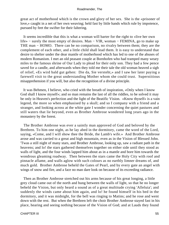great act of motherhood which is the crown and glory of her sex. She is the «prisoner of love,» caught in a net of her own weaving; held fast by little hands which rule by impotence, pursued by feet the swifter for their faltering.

 It seems incredible that this is what a woman will barter for the right to «live her own life» − surely the most empty of desires. Man − VIR, woman − FEMINA, go to make up THE man − HOMO. There can be no comparison, no rivalry between them; they are the complement of each other, and a little child shall lead them. It is easy to understand that desire to shelter under the dear mantle of motherhood which has led to one of the abuses of modern Romanism. I met an old peasant couple at Bornhofen who had tramped many weary miles to the famous shrine of Our Lady to plead for their only son. They had a few pence saved for a candle, and afterwards when they told me their tale the old woman heaved a sigh of relief, «Es wird bald gut gehen: Die da, Sie versteht,» and I saw her later paying a farewell visit to the great understanding Mother whom she could trust. Superstitious misapprehension if you will, but also the recognition of a divine principle.

 It was Behmen, I believe, who cried with the breath of inspiration, «Only when I know God shall I know myself»; and so man remains the last of all the riddles, to be solved it may be only in Heaven's perfection and the light of the Beatific Vision. «Know thyself» is a vain legend, the more so when emphasised by a skull; and so I company with a friend and a stranger, and looking across at the white gate I wonder concerning the quiet pastures and still waters that lie beyond, even as Brother Ambrose wondered long years ago in the monastery by the forest.

 The Brother Ambrose was ever a saintly man approved of God and beloved by the Brethren. To him one night, as he lay abed in the dormitory, came the word of the Lord, saying, «Come, and I will show thee the Bride, the Lamb's wife.» And Brother Ambrose arose and was carried to a great and high mountain, even as in the Vision of Blessed John. 'Twas a still night of many stars, and Brother Ambrose, looking up, saw a radiant path in the heavens; and lo! the stars gathered themselves together on either side until they stood as walls of light, and the four winds lapped him about as in a mantle and bore him towards the wondrous gleaming roadway. Then between the stars came the Holy City with roof and pinnacle aflame, and walls aglow with such colours as no earthly limner dreams of, and much gold. Brother Ambrose beheld the Gates of Pearl, and by every gate an angel with wings of snow and fire, and a face no man dare look on because of its exceeding radiance.

 Then as Brother Ambrose stretched out his arms because of his great longing, a little grey cloud came out of the north and hung between the walls of light, so that he no longer beheld the Vision, but only heard a sound as of a great multitude crying 'Alleluia'; and suddenly the winds came about him again, and lo! he found himself in his bed in the dormitory, and it was midnight, for the bell was ringing to Matins; and he rose and went down with the rest. But when the Brethren left the choir Brother Ambrose stayed fast in his place, hearing and seeing nothing because of the Vision of God; and at Lauds they found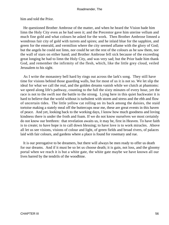him and told the Prior.

 He questioned Brother Ambrose of the matter, and when he heard the Vision bade him limn the Holy City even as he had seen it; and the Precentor gave him uterine vellum and much fine gold and what colours he asked for the work. Then Brother Ambrose limned a wondrous fair city of gold with turrets and spires; and he inlaid blue for the sapphire, and green for the emerald, and vermilion where the city seemed aflame with the glory of God; but the angels he could not limn, nor could he set the rest of the colours as he saw them, nor the wall of stars on either hand; and Brother Ambrose fell sick because of the exceeding great longing he had to limn the Holy City, and was very sad; but the Prior bade him thank God, and remember the infirmity of the flesh, which, like the little grey cloud, veiled Jerusalem to his sight.

 As I write the monastery bell hard by rings out across the lark's song. They still have time for visions behind those guarding walls, but for most of us it is not so. We let slip the ideal for what we call the real, and the golden dreams vanish while we clutch at phantoms: we speed along life's pathway, counting to the full the sixty minutes of every hour, yet the race is not to the swift nor the battle to the strong. Lying here in this quiet backwater it is hard to believe that the world without is turbulent with storm and stress and the ebb and flow of uncertain tides. The little yellow cat rolling on its back among the daisies, the staid tortoise making a stately meal off the buttercups near me, these are great events in this haven of peace. And yet, looking back to the working days, I know how much goodness and loving kindness there is under the froth and foam. If we do not know ourselves we most certainly do not know our brethren: that revelation awaits us, it may be, first in Heaven. To have faith is to create; to have hope is to call down blessing; to have love is to work miracles. Above all let us see visions, visions of colour and light, of green fields and broad rivers, of palaces laid with fair colours, and gardens where a place is found for rosemary and rue.

 It is our prerogative to be dreamers, but there will always be men ready to offer us death for our dreams. And if it must be so let us choose death; it is gain, not loss, and the gloomy portal when we reach it is but a white gate, the white gate maybe we have known all our lives barred by the tendrils of the woodbine.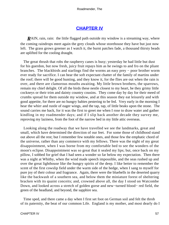### **[CHAPTER IV](#page-60-0)**

<span id="page-57-0"></span>*R*AIN, rain, rain: the little flagged path outside my window is a streaming way, where the coming raindrops meet again the grey clouds whose storehouse they have but just now left. The grass grows greener as I watch it, the burnt patches fade, a thousand thirsty beads are uplifted for the cooling draught.

 The great thrush that robs the raspberry canes is busy; yesterday he had little but dust for his guerdon, but now fresh, juicy fruit repays him as he swings to and fro on the pliant branches. The blackbirds and starlings find the worms an easy prey − poor brother worm ever ready for sacrifice. I can hear the soft expectant chatter of the family of martins under the roof; there will be good hunting, and they know it, for the flies are out when the rain is over, and there are clamorous mouths awaiting. My little brown brothers, the sparrows, remain my chief delight. Of all the birds these nestle closest to my heart, be they grimy little cockneys or their trim and dainty country cousins. They come day by day for their meed of crumbs spread for them outside my window, and at this season they eat leisurely and with good appetite, for there are no hungry babies pestering to be fed. Very early in the morning I hear the whirr and rustle of eager wings, and the tap, tap, of little beaks upon the stone. The sound carries me back, for it was the first to greet me when I rose to draw water and gather kindling in my roadmender days; and if I slip back another decade they survey me, reproving my laziness, from the foot of the narrow bed in my little attic overseas.

 Looking along the roadway that we have travelled we see the landmarks, great and small, which have determined the direction of our feet. For some those of childhood stand out above all the rest; but I remember few notable ones, and those few the emphatic chord of the universe, rather than any commerce with my fellows. There was the night of my great disappointment, when I was borne from my comfortable bed to see the wonders of the moon's eclipse. Disappointment was so great that it sealed my lips; but, once back on my pillow, I sobbed for grief that I had seen a wonder so far below my expectation. Then there was a night at Whitby, when the wind made speech impossible, and the seas rushed up and over the great lighthouse like the hungry spirits of the deep. I like better to remember the scent of the first cowslip field under the warm side of the hedge, when I sang to myself for pure joy of their colour and fragrance. Again, there were the bluebells in the deserted quarry like the backwash of a southern sea, and below them the miniature forest of sheltering bracken with its quaint conceits; and, crowned above all, the day I stood on Watcombe Down, and looked across a stretch of golden gorse and new−turned blood− red field, the green of the headland, and beyond, the sapphire sea.

 Time sped, and there came a day when I first set foot on German soil and felt the throb of its paternity, the beat of our common Life. England is my mother, and most dearly do I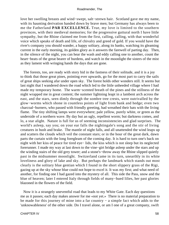love her swelling breasts and wind−swept, salt−strewn hair. Scotland gave me my name, with its haunting derivation handed down by brave men; but Germany has always been to me the Fatherland **PAR EXCELLENCE.** True, my love is limited to the southern provinces, with their medieval memories; for the progressive guttural north I have little sympathy, but the Rhine claimed me from the first, calling, calling, with that wonderful voice which speaks of death and life, of chivalry and greed of gold. If you would have the river's company you should wander, a happy solitary, along its banks, watching its gleaming current in the early morning, its golden glory as it answers the farewell of parting day. Then, in the silence of the night, you can hear the wash and eddy calling one to another, count the heart−beats of the great bearer of burdens, and watch in the moonlight the sisters of the mist as they lament with wringing hands the days that are gone.

 The forests, too, are ready with story hid in the fastness of their solitude, and it is a joy to think that those great pines, pointing ever upwards, go for the most part to carry the sails of great ships seeking afar under open sky. The forest holds other wonders still. It seems but last night that I wandered down the road which led to the little unheeded village where I had made my temporary home. The warm−scented breath of the pines and the stillness of the night wrapped me in great content; the summer lightning leapt in a lambent arch across the east, and the stars, seen dimly through the sombre tree crests, were outrivalled by the glow−worms which shone in countless points of light from bank and hedge; even two charcoal−burners, who passed with friendly greeting, had wreathed their hats with the living flame. The tiny shifting lamps were everywhere; pale yellow, purely white, or green as the underside of a northern wave. By day but an ugly, repellent worm; but darkness comes, and lo, a star alight. Nature is full for us of seeming inconsistencies and glad surprises. The world's asleep, say you; on your ear falls the nightingale's song and the stir of living creatures in bush and brake. The mantle of night falls, and all unattended the wind leaps up and scatters the clouds which veil the constant stars; or in the hour of the great dark, dawn parts the curtain with the long foregleam of the coming day. It is hard to turn one's back on night with her kiss of peace for tired eye− lids, the kiss which is not sleep but its neglected forerunner. I made my way at last down to the vine−girt bridge asleep under the stars and up the winding stairs of the old grey tower; and a stone's−throw away the Rhine slipped quietly past in the midsummer moonlight. Switzerland came in its turn, unearthly in its white loveliness and glory of lake and sky. But perhaps the landmark which stands out most clearly is the solitary blue gentian which I found in the short slippery grass of the Rigi, gazing up at the sky whose blue could not hope to excel it. It was my first; and what need of another, for finding one I had gazed into the mystery of all. This side the Pass, snow and the blue of heaven; later I entered Italy through fields of many−hued lilies, her past glories blazoned in the flowers of the field.

 Now it is a strangely uneventful road that leads to my White Gate. Each day questions me as it passes; each day makes answer for me «not yet.» There is no material preparation to be made for this journey of mine into a far country − a simple fact which adds to the 'unknowableness' of the other side. Do I travel alone, or am I one of a great company, swift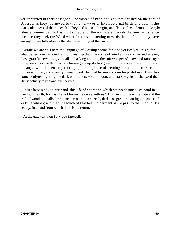yet unhurried in their passage? The voices of Penelope's suitors shrilled on the ears of Ulysses, as they journeyed to the nether−world, like nocturnal birds and bats in the inarticulateness of their speech. They had abused the gift, and fled self−condemned. Maybe silence commends itself as most suitable for the wayfarers towards the sunrise − silence because they seek the Word − but for those hastening towards the confusion they have wrought there falls already the sharp oncoming of the curse.

 While we are still here the language of worship seems far, and yet lies very nigh; for what better note can our frail tongues lisp than the voice of wind and sea, river and stream, those grateful servants giving all and asking nothing, the soft whisper of snow and rain eager to replenish, or the thunder proclaiming a majesty too great for utterance? Here, too, stands the angel with the censer gathering up the fragrance of teeming earth and forest−tree, of flower and fruit, and sweetly pungent herb distilled by sun and rain for joyful use. Here, too, come acolytes lighting the dark with tapers − sun, moon, and stars − gifts of the Lord that His sanctuary may stand ever served.

 It lies here ready to our hand, this life of adoration which we needs must live hand in hand with earth, for has she not borne the curse with us? But beyond the white gate and the trail of woodbine falls the silence greater than speech, darkness greater than light, a pause of «a little while»; and then the touch of that healing garment as we pass to the King in His beauty, in a land from which there is no return.

At the gateway then I cry you farewell.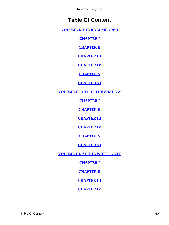# **Table Of Content**

<span id="page-60-0"></span>**[VOLUME I. THE ROADMENDER](#page-3-0)**

**[CHAPTER I](#page-4-0)**

**[CHAPTER II](#page-6-0)**

**[CHAPTER III](#page-9-0)**

**[CHAPTER IV](#page-14-0)**

**[CHAPTER V](#page-17-0)**

### **[CHAPTER VI](#page-21-0)**

**[VOLUME II. OUT OF THE SHADOW](#page-25-0)**

**[CHAPTER I](#page-26-0)**

**[CHAPTER II](#page-29-0)**

**[CHAPTER III](#page-33-0)**

**[CHAPTER IV](#page-37-0)**

**[CHAPTER V](#page-40-0)**

**[CHAPTER VI](#page-43-0)**

**[VOLUME III. AT THE WHITE GATE](#page-46-0)**

**[CHAPTER I](#page-47-0)**

**[CHAPTER II](#page-51-0)**

**[CHAPTER III](#page-54-0)**

**[CHAPTER IV](#page-57-0)**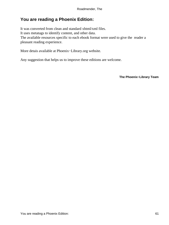# <span id="page-61-0"></span>**You are reading a Phoenix Edition:**

It was converted from clean and standard xhtml/xml files. It uses metatags to identify content, and other data. The available resources specific to each ebook format were used to give the reader a pleasant reading experience.

More detais available at Phoenix−Library.org website.

Any suggestion that helps us to improve these editions are welcome.

**The Phoenix−Library Team**